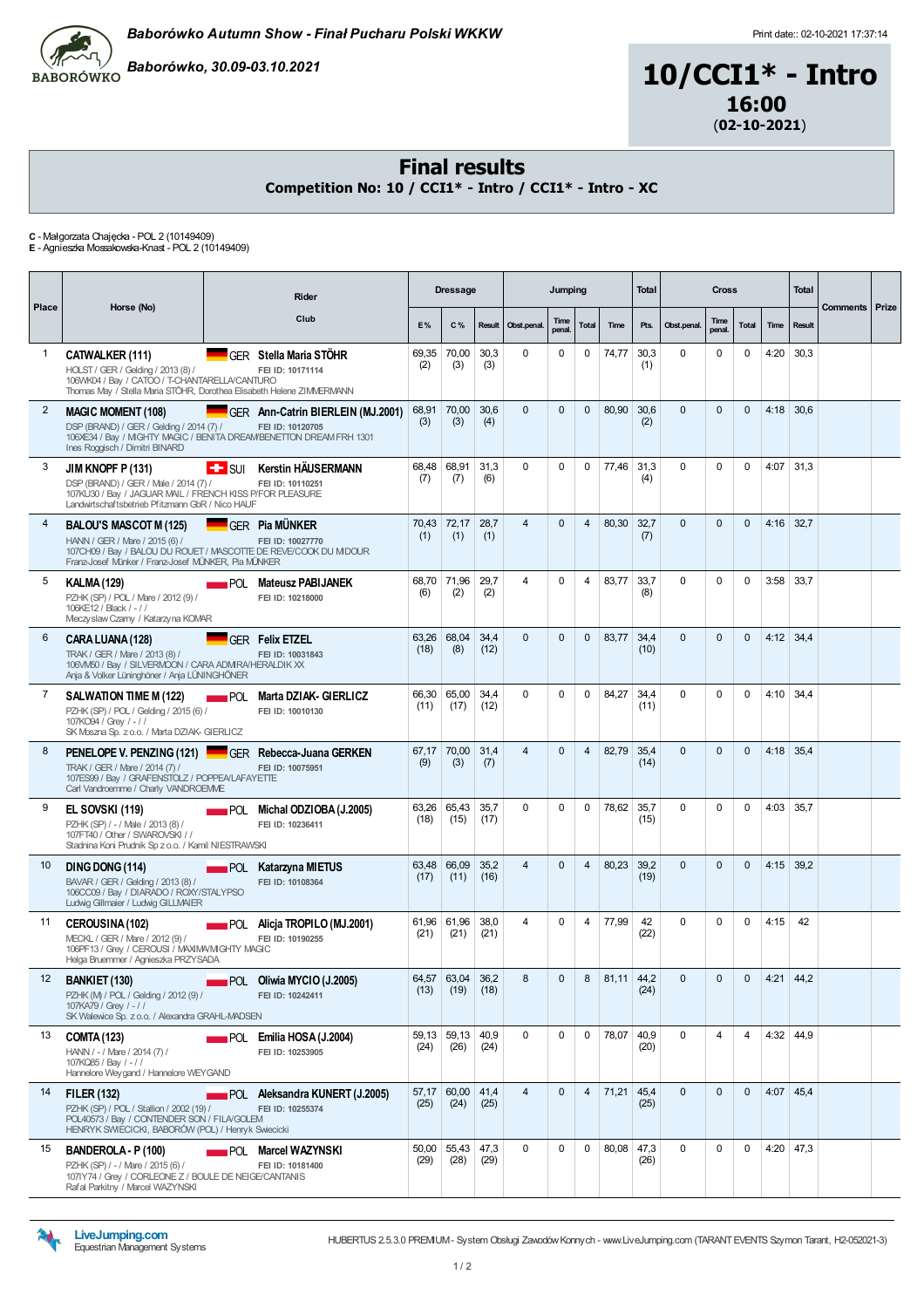



#### Final results

Competition No: 10 / CCI1\* - Intro / CCI1\* - Intro - XC

C - Małgorzata Chajęcka - POL 2 (10149409) E - Agnieszka Mossakowska-Knast - POL 2 (10149409)

| Place           | Horse (No)                                                                                                                                                                                 |     | <b>Rider</b>                                              |               | <b>Dressage</b>      |              |                    | Jumping        |                |              | <b>Total</b> |              | <b>Cross</b>   |             |               | <b>Total</b> | <b>Comments Prize</b> |  |
|-----------------|--------------------------------------------------------------------------------------------------------------------------------------------------------------------------------------------|-----|-----------------------------------------------------------|---------------|----------------------|--------------|--------------------|----------------|----------------|--------------|--------------|--------------|----------------|-------------|---------------|--------------|-----------------------|--|
|                 |                                                                                                                                                                                            |     | Club                                                      | E%            | $C\%$                |              | Result Obst.penal. | Time<br>penal. | Total          | Time         | Pts.         | Obst.penal.  | Time<br>penal. | Total       | Time          | Result       |                       |  |
| 1               | CATWALKER (111)<br>HOLST / GER / Gelding / 2013 (8) /<br>106WK04 / Bay / CATOO / T-CHANTARELLA/CANTURO<br>Thomas May / Stella Maria STÖHR, Dorothea Elisabeth Helene ZIMMERMANN            |     | GFR Stella Maria STÖHR<br>FEI ID: 10171114                | 69,35<br>(2)  | 70,00<br>(3)         | 30,3<br>(3)  | $\Omega$           | $\Omega$       | 0              | 74,77        | 30,3<br>(1)  | $\Omega$     | $\Omega$       | 0           | 4:20          | 30,3         |                       |  |
| $\overline{2}$  | <b>MAGIC MOMENT (108)</b><br>DSP (BRAND) / GER / Gelding / 2014 (7) /<br>106XE34 / Bay / MIGHTY MAGIC / BENITA DREAM/BENETTON DREAM FRH 1301<br>Ines Roggisch / Dimitri BINARD             |     | GER Ann-Catrin BIERLEIN (MJ.2001)<br>FEI ID: 10120705     | 68,91<br>(3)  | 70,00<br>(3)         | 30,6<br>(4)  | $\Omega$           | $\Omega$       | $\mathbf{0}$   | 80,90        | 30.6<br>(2)  | $\Omega$     | $\Omega$       | $\Omega$    | 4:18          | 30,6         |                       |  |
| 3               | JIM KNOPF P (131)<br>DSP (BRAND) / GER / Male / 2014 (7) /<br>107KU30 / Bay / JAGUAR MAIL / FRENCH KISS P/FOR PLEASURE<br>Landwirtschaftsbetrieb Pfitzmann GbR / Nico HAUF                 |     | <b>E.</b> SUI Kerstin HÄUSERMANN<br>FEI ID: 10110251      | 68.48<br>(7)  | 68,91<br>(7)         | 31,3<br>(6)  | $\Omega$           | $\Omega$       | $\Omega$       | 77,46        | 31,3<br>(4)  | $\Omega$     | $\Omega$       | $\Omega$    | 4:07          | 31,3         |                       |  |
| 4               | <b>BALOU'S MASCOT M (125)</b><br>HANN / GER / Mare / 2015 (6) /<br>107CH09 / Bay / BALOU DU ROUET / MASCOTTE DE REVE/COOK DU MIDOUR<br>Franz-Josef Münker / Franz-Josef MÜNKER, Pia MÜNKER |     | <b>GER Pia MÜNKER</b><br>FEI ID: 10027770                 | 70.43<br>(1)  | 72,17<br>(1)         | 28,7<br>(1)  | $\overline{4}$     | $\Omega$       | $\overline{4}$ | 80,30        | 32,7<br>(7)  | $\Omega$     | $\Omega$       | $\Omega$    | $4:16$ 32,7   |              |                       |  |
| 5               | <b>KALMA (129)</b><br>PZHK (SP) / POL / Mare / 2012 (9) /<br>106KE12 / Black / -//<br>Meczyslaw Czamy / Katarzyna KOMAR                                                                    |     | <b>POL Mateusz PABIJANEK</b><br>FEI ID: 10218000          | 68,70<br>(6)  | 71,96<br>(2)         | 29,7<br>(2)  | 4                  | $\Omega$       | 4              | 83,77        | 33,7<br>(8)  | $\Omega$     | $\Omega$       | $\Omega$    | 3:58          | 33,7         |                       |  |
| 6               | CARA LUANA (128)<br>TRAK / GER / Mare / 2013 (8) /<br>106VM50 / Bay / SILVERMOON / CARA ADM RA/HERALDIK XX<br>Anja & Volker Lüninghöner / Anja LÜNINGHÖNER                                 |     | <b>GFR Felix ETZEL</b><br>FEI ID: 10031843                | 63,26<br>(18) | 68,04<br>(8)         | 34,4<br>(12) | $\Omega$           | $\Omega$       | $\Omega$       | 83,77        | 34,4<br>(10) | $\Omega$     | $\Omega$       | $\Omega$    | $4:12$ 34,4   |              |                       |  |
| $\overline{7}$  | SALWATION TIME M (122)<br>PZHK (SP) / POL / Gelding / 2015 (6) /<br>107KO94 / Grev / - / /<br>SK Moszna Sp. z o.o. / Marta DZIAK- GIERLICZ                                                 | POL | Marta DZIAK- GIERLICZ<br>FEI ID: 10010130                 | 66,30<br>(11) | 65,00<br>(17)        | 34.4<br>(12) | $\Omega$           | $\Omega$       | $\Omega$       | 84,27        | 34.4<br>(11) | $\Omega$     | $\Omega$       | $\Omega$    | 4:10          | 34,4         |                       |  |
| 8               | PENELOPE V. PENZING (121) GER Rebecca-Juana GERKEN<br>TRAK / GER / Mare / 2014 (7) /<br>107ES99 / Bay / GRAFENSTOLZ / POPPEA/LAFAYETTE<br>Carl Vandroemme / Charly VANDROEMME              |     | FEI ID: 10075951                                          | 67.17<br>(9)  | 70.00<br>(3)         | 31.4<br>(7)  | $\overline{4}$     | $\Omega$       | 4              | 82,79        | 35.4<br>(14) | $\Omega$     | $\Omega$       | $\Omega$    | 4:18          | 35.4         |                       |  |
| 9               | <b>EL SOVSKI (119)</b><br>PZHK (SP) / - / Male / 2013 (8) /<br>107FT40 / Other / SWAROVSKI / /<br>Stadnina Koni Prudnik Sp z o.o. / Kamil NIESTRAWSKI                                      |     | POL Michal ODZIOBA (J.2005)<br>FEI ID: 10236411           | 63,26<br>(18) | 65,43<br>(15)        | 35,7<br>(17) | $\Omega$           | $\Omega$       | $\Omega$       | 78,62        | 35,7<br>(15) | $\Omega$     | $\Omega$       | $\Omega$    | 4:03          | 35,7         |                       |  |
| 10              | <b>DING DONG (114)</b><br>BAVAR / GER / Gelding / 2013 (8) /<br>106CC09 / Bay / DIARADO / ROXY/STALYPSO<br>Ludwig Gillmaier / Ludwig GILLMAIER                                             |     | <b>POL</b> Katarzyna MIETUS<br>FEI ID: 10108364           | 63,48<br>(17) | 66.09<br>(11)        | 35,2<br>(16) | $\overline{4}$     | $\Omega$       | $\overline{4}$ | 80,23        | 39,2<br>(19) | $\Omega$     | $\Omega$       | $\mathbf 0$ | 4:15          | 39,2         |                       |  |
| 11              | CEROUSINA (102)<br>MECKL / GER / Mare / 2012 (9) /<br>106PF13 / Grev / CEROUSI / MAXIMA/MGHTY MAGIC<br>Helga Bruemmer / Agnieszka PRZYSADA                                                 |     | <b>POL Alicja TROPILO (MJ.2001)</b><br>FEI ID: 10190255   | 61,96<br>(21) | 61,96<br>(21)        | 38,0<br>(21) | 4                  | $\Omega$       | 4              | 77,99        | 42<br>(22)   | 0            | $\Omega$       | $\Omega$    | 4:15          | 42           |                       |  |
| 12 <sup>2</sup> | BANKIET (130)<br>PZHK (M) / POL / Gelding / 2012 (9) /<br>107KA79 / Grey / - / /<br>SK Walewice Sp. z o.o. / Alexandra GRAHL-MADSEN                                                        |     | <b>POL</b> Oliwia MYCIO (J.2005)<br>FEI ID: 10242411      | (13)          | 64,57 63,04<br>(19)  | 36,2<br>(18) | 8                  | $\mathbf 0$    | 8              | 81,11        | 44,2<br>(24) | $\mathbf{0}$ | $\mathbf 0$    | $\mathbf 0$ | $4:21 \ 44,2$ |              |                       |  |
| 13              | <b>COMTA (123)</b><br>HANN / - / Mare / 2014 (7) /<br>107KQ85 / Bay / - / /<br>Hannelore Weygand / Hannelore WEYGAND                                                                       |     | $POL$ Emilia HOSA (J.2004)<br>FEI ID: 10253905            | 59,13<br>(24) | 59,13<br>(26)        | 40,9<br>(24) | $\Omega$           | $\Omega$       | $\mathbf 0$    | 78,07        | 40,9<br>(20) | $\Omega$     | $\overline{4}$ | 4           | $4:32$ 44,9   |              |                       |  |
| 14              | <b>FILER (132)</b><br>PZHK (SP) / POL / Stallion / 2002 (19) /<br>POL40573 / Bay / CONTENDER SON / FILA/GOLEM<br>HENRYK SWIECICKI, BABORÓW (POL) / Henryk Swiecicki                        |     | <b>POL</b> Aleksandra KUNERT (J.2005)<br>FEI ID: 10255374 | 57,17<br>(25) | $60,00$ 41,4<br>(24) | (25)         | $\overline{4}$     | $\Omega$       | $\overline{4}$ | 71,21        | 45,4<br>(25) | $\Omega$     | $\Omega$       | $\Omega$    | $4:07$ 45,4   |              |                       |  |
| 15              | BANDEROLA - P (100)<br>PZHK (SP) / - / Mare / 2015 (6) /<br>1071Y74 / Grey / CORLEONE Z / BOULE DE NEIGE/CANTANIS<br>Rafal Parkitny / Marcel WAZYNSKI                                      |     | <b>EXAMPLE Marcel WAZYNSKI</b><br>FEI ID: 10181400        | 50,00<br>(29) | $55,43$ 47,3<br>(28) | (29)         | $\Omega$           | $\Omega$       | 0              | $80,08$ 47,3 | (26)         | 0            | $\mathbf 0$    | $\mathbf 0$ | $4:20$ 47,3   |              |                       |  |

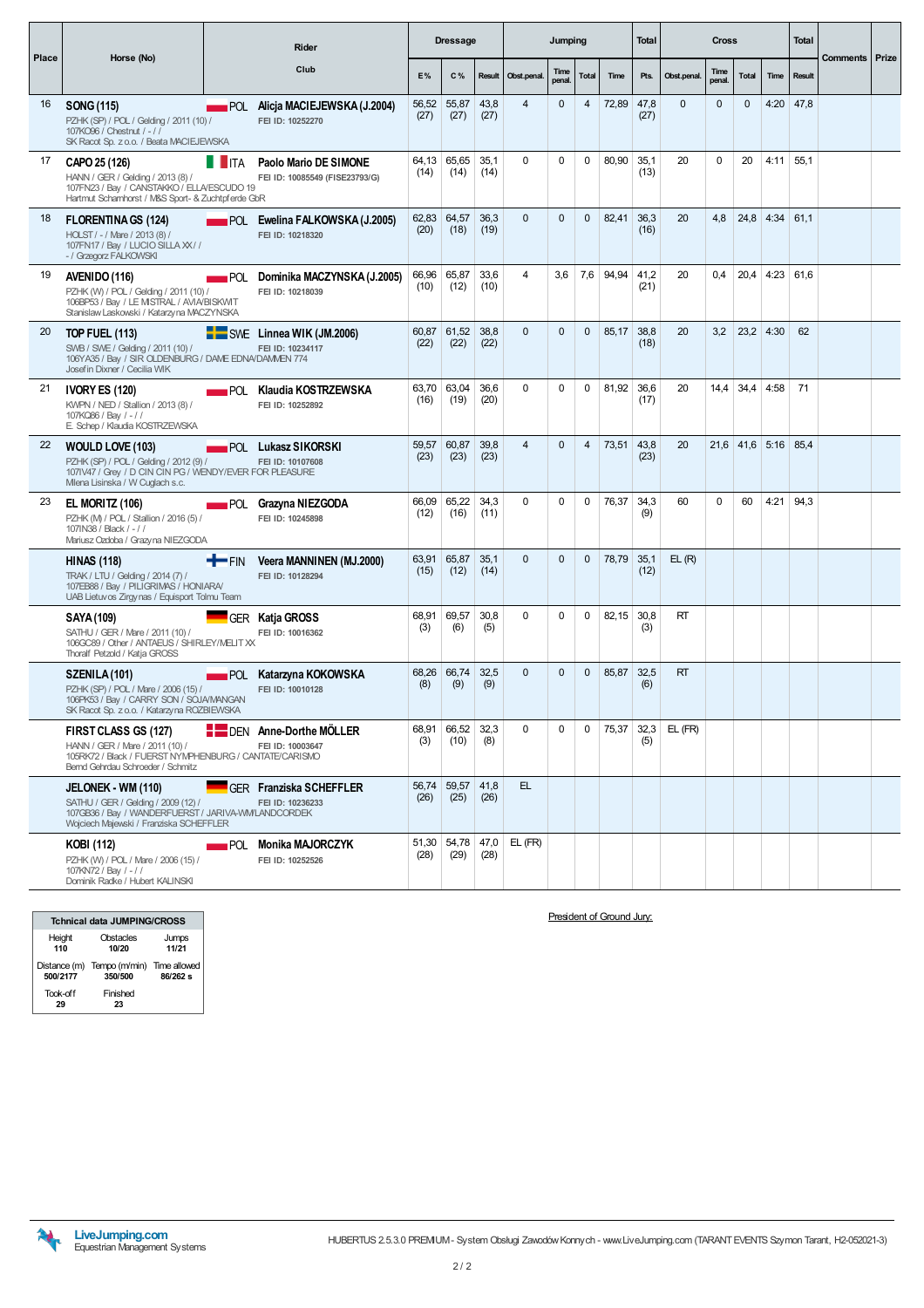|       |                                                                                                                                                                 |                    | <b>Rider</b>                                               |               | <b>Dressage</b> |              |                | Jumping        |              |           | <b>Total</b> |             | <b>Cross</b>   |              |                  | <b>Total</b>  |                       |  |
|-------|-----------------------------------------------------------------------------------------------------------------------------------------------------------------|--------------------|------------------------------------------------------------|---------------|-----------------|--------------|----------------|----------------|--------------|-----------|--------------|-------------|----------------|--------------|------------------|---------------|-----------------------|--|
| Place | Horse (No)                                                                                                                                                      |                    | Club                                                       | E%            | C%              | Result       | Obst.penal.    | Time<br>penal. | Total        | Time      | Pts.         | Obst.penal. | Time<br>penal. | <b>Total</b> | Time             | <b>Result</b> | <b>Comments Prize</b> |  |
| 16    | SONG (115)<br>PZHK (SP) / POL / Gelding / 2011 (10) /<br>107KO96 / Chestnut / - / /<br>SK Racot Sp. z o.o. / Beata MACIEJEWSKA                                  |                    | <b>POL</b> Alicja MACIEJEWSKA (J.2004)<br>FEI ID: 10252270 | 56,52<br>(27) | 55,87<br>(27)   | 43,8<br>(27) | $\overline{4}$ | $\Omega$       | 4            | 72,89     | 47,8<br>(27) | $\Omega$    | $\Omega$       | $\Omega$     | $4:20$ 47,8      |               |                       |  |
| 17    | CAPO 25 (126)<br>HANN / GER / Gelding / 2013 (8) /<br>107FN23 / Bay / CANSTAKKO / ELLA/ESCUDO 19<br>Hartmut Schamhorst / M&S Sport- & Zuchtpf erde GbR          | <b>T</b> ITA       | Paolo Mario DE SIMONE<br>FEI ID: 10085549 (FISE23793/G)    | 64.13<br>(14) | 65.65<br>(14)   | 35.1<br>(14) | $\Omega$       | $\Omega$       | $\Omega$     | 80.90     | 35.1<br>(13) | 20          | $\Omega$       | 20           | 4:11             | 55.1          |                       |  |
| 18    | <b>FLORENTINA GS (124)</b><br>HOLST / - / Mare / 2013 (8) /<br>107FN17 / Bay / LUCIO SILLA XX / /<br>- / Grzegorz FALKOWSKI                                     |                    | <b>POL</b> Ewelina FALKOWSKA (J.2005)<br>FEI ID: 10218320  | 62,83<br>(20) | 64,57<br>(18)   | 36,3<br>(19) | $\Omega$       | $\Omega$       | $\Omega$     | 82,41     | 36,3<br>(16) | 20          | 4,8            |              | $24,8$ 4:34      | 61.1          |                       |  |
| 19    | AVENIDO (116)<br>PZHK (W) / POL / Gelding / 2011 (10) /<br>106BP53 / Bay / LE MSTRAL / AVIA/BISKWIT<br>Stanislaw Laskowski / Katarzyna MACZYNSKA                | <b>POL</b>         | Dominika MACZYNSKA (J.2005)<br>FEI ID: 10218039            | 66,96<br>(10) | 65,87<br>(12)   | 33,6<br>(10) | 4              | 3,6            |              | 7,6 94,94 | 41.2<br>(21) | 20          | 0.4            | 20,4         | 4:23             | 61,6          |                       |  |
| 20    | <b>TOP FUEL (113)</b><br>SWB / SWE / Gelding / 2011 (10) /<br>106YA35 / Bay / SIR OLDENBURG / DAME EDNA/DAMMEN 774<br>Josef in Dixner / Cecilia WIK             |                    | SWE Linnea WIK (JM.2006)<br>FEI ID: 10234117               | 60,87<br>(22) | 61,52<br>(22)   | 38,8<br>(22) | $\Omega$       | $\Omega$       | $\Omega$     | 85,17     | 38.8<br>(18) | 20          | 3,2            | $23,2$ 4:30  |                  | 62            |                       |  |
| 21    | <b>IVORY ES (120)</b><br>KWPN / NED / Stallion / 2013 (8) /<br>107KQ86 / Bay / -//<br>E. Schep / Klaudia KOSTRZEWSKA                                            |                    | <b>EXAMPLE Klaudia KOSTRZEWSKA</b><br>FEI ID: 10252892     | 63,70<br>(16) | 63,04<br>(19)   | 36,6<br>(20) | $\Omega$       | $\Omega$       | $\Omega$     | 81,92     | 36,6<br>(17) | 20          |                | $14,4$ 34,4  | 4:58             | 71            |                       |  |
| 22    | <b>WOULD LOVE (103)</b><br>PZHK (SP) / POL / Gelding / 2012 (9) /<br>107IV47 / Grey / D CIN CIN PG / WENDY/EVER FOR PLEASURE<br>Mlena Lisinska / W Cuglach s.c. |                    | POL Lukasz SIKORSKI<br>FEI ID: 10107608                    | 59.57<br>(23) | 60.87<br>(23)   | 39.8<br>(23) | $\overline{4}$ | $\Omega$       | 4            | 73,51     | 43.8<br>(23) | 20          |                |              | $21,6$ 41,6 5:16 | 85,4          |                       |  |
| 23    | <b>EL MORITZ (106)</b><br>PZHK (M) / POL / Stallion / 2016 (5) /<br>107IN38 / Black / - / /<br>Mariusz Ozdoba / Grazyna NIEZGODA                                |                    | <b>POL</b> Grazyna NIEZGODA<br>FEI ID: 10245898            | 66,09<br>(12) | 65,22<br>(16)   | 34,3<br>(11) | $\Omega$       | $\Omega$       | $\Omega$     | 76,37     | 34,3<br>(9)  | 60          | $\mathbf 0$    | 60           | 4:21             | 94,3          |                       |  |
|       | <b>HINAS (118)</b><br>TRAK / LTU / Gelding / 2014 (7) /<br>107EB88 / Bay / PILIGRIMAS / HONIARA/<br>UAB Lietuvos Zirgynas / Equisport Tolmu Team                | <b>T</b> FIN       | Veera MANNINEN (MJ.2000)<br>FEI ID: 10128294               | 63,91<br>(15) | 65,87<br>(12)   | 35,1<br>(14) | $\mathbf 0$    | $\Omega$       | $\mathbf{0}$ | 78,79     | 35,1<br>(12) | EL(R)       |                |              |                  |               |                       |  |
|       | <b>SAYA (109)</b><br>SATHU / GER / Mare / 2011 (10) /<br>106GC89 / Other / ANTAEUS / SHIRLEY/MELIT XX<br>Thoralf Petzold / Katja GROSS                          |                    | GER Katja GROSS<br>FEI ID: 10016362                        | 68.91<br>(3)  | 69.57<br>(6)    | 30.8<br>(5)  | $\Omega$       | $\Omega$       | $\Omega$     | 82,15     | 30.8<br>(3)  | <b>RT</b>   |                |              |                  |               |                       |  |
|       | SZENILA (101)<br>PZHK (SP) / POL / Mare / 2006 (15) /<br>106PK53 / Bay / CARRY SON / SOJA/MANGAN<br>SK Racot Sp. z o.o. / Katarzyna ROZBIEWSKA                  | <b>POL</b>         | Katarzyna KOKOWSKA<br>FEI ID: 10010128                     | 68,26<br>(8)  | 66,74<br>(9)    | 32,5<br>(9)  | $\Omega$       | $\Omega$       | $\Omega$     | 85,87     | 32,5<br>(6)  | RT          |                |              |                  |               |                       |  |
|       | FIRST CLASS GS (127)<br>HANN / GER / Mare / 2011 (10) /<br>105RK72 / Black / FUERST NYMPHENBURG / CANTATE/CARISMO<br>Bernd Gehrdau Schroeder / Schmitz          |                    | DEN Anne-Dorthe MÖLLER<br>FEI ID: 10003647                 | 68,91<br>(3)  | 66,52<br>(10)   | 32,3<br>(8)  | $\Omega$       | $\Omega$       | $\Omega$     | 75,37     | 32,3<br>(5)  | $EL$ (FR)   |                |              |                  |               |                       |  |
|       | JELONEK - WM (110)<br>SATHU / GER / Gelding / 2009 (12) /<br>107GB36 / Bay / WANDERFUERST / JARIVA-WM/LANDCORDEK<br>Wojciech Majewski / Franziska SCHEFFLER     |                    | GER Franziska SCHEFFLER<br>FEI ID: 10236233                | 56,74<br>(26) | 59,57<br>(25)   | 41,8<br>(26) | EL.            |                |              |           |              |             |                |              |                  |               |                       |  |
|       | KOBI (112)<br>PZHK (W) / POL / Mare / 2006 (15) /<br>107KN72 / Bay / -//<br>Dominik Radke / Hubert KALINSKI                                                     | $\blacksquare$ POL | <b>Monika MAJORCZYK</b><br>FEI ID: 10252526                | 51,30<br>(28) | 54,78<br>(29)   | 47,0<br>(28) | $EL$ (FR)      |                |              |           |              |             |                |              |                  |               |                       |  |

|                | <b>Tchnical data JUMPING/CROSS</b>                 |                |
|----------------|----------------------------------------------------|----------------|
| Height<br>110  | Obstacles<br>10/20                                 | Jumps<br>11/21 |
| 500/2177       | Distance (m) Tempo (m/min) Time allowed<br>350/500 | 86/262 s       |
| Took-off<br>29 | Finished<br>23                                     |                |

President of Ground Jury:

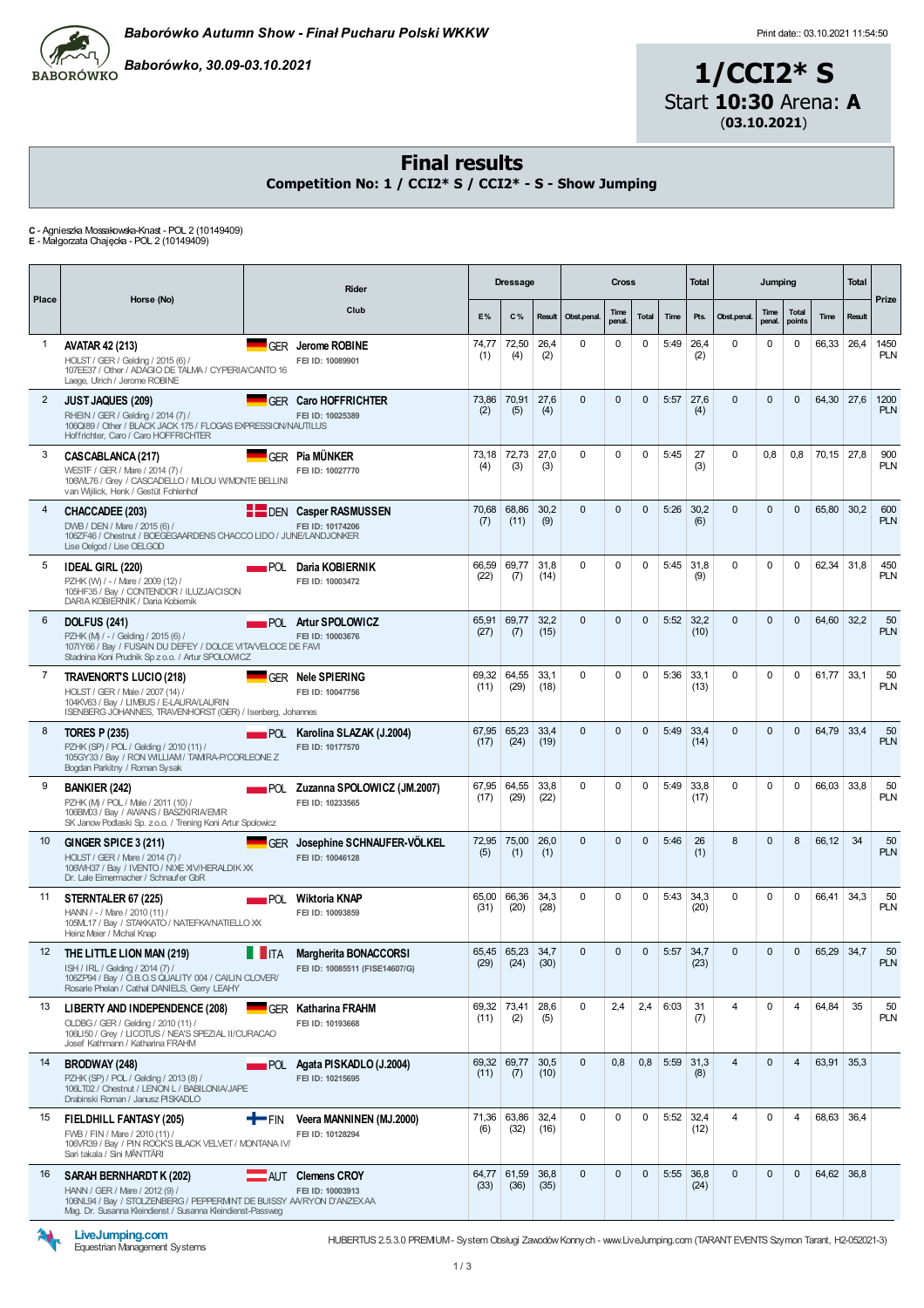

Baborówko, 30.09-03.10.2021

1/CCI2\* S Start 10:30 Arena: A (03.10.2021)

#### Final results

Competition No: 1 / CCI2\* S / CCI2\* - S - Show Jumping

C - Agnieszka Mossakowska-Knast - POL 2 (10149409) E - Małgorzata Chajęcka - POL 2 (10149409)

Place Horse (No) **Rider** Club Dressage Cross Total Jumping Tota Prize  $E%$   $C%$  Result Obstream Time penal. Total Time Pts. Obst.penal. Time penal. Tota points **Time** 1 AVATAR 42 (213) GER Jerome ROBINE 74,77 (1) 72,50 (4) 26,4 (2)  $0 \quad 0 \quad 0$  5:49 264  $(2)$  $0 \t 0 \t 0 \t 66,33 \t 26,4 \t 1450$ PL<sub>N</sub> <sup>2</sup> JUST JAQUES (209) GER Caro HOFFRICHTER 73,86 (2) 70,91  $(5)$ 27,6  $(4)$  $0 \t 0 \t 0 \t 5:57 \t 27.6$  $(4)$  $0 \t 0 \t 0 \t 64,30 \t 27,6 \t 1200$ PL<sub>N</sub> 3 CASCABLANCA (217) GER Pia MÜNKER 73,18  $(4)$ 72,73  $(3)$ 27,0 (3)  $0 \t 0 \t 0 \t 5:45 \t 27$ (3)  $0 \t 0,8 \t 0,8 \t 70,15 \t 27,8 \t 900$ PLN 4 CHACCADEE (203) DEN Casper RASMUSSEN 70,68 (7) 68,86  $(11)$ 30,2 (9)  $0 \t 0 \t 5:26 \t 30,2$  $(6)$  $0 \t 0 \t 0 \t 65,80 \t 30,2 \t 600$ PLN 5 **IDEAL GIRL (220) POL Daria KOBIERNIK** 66,59 (22) 69,77 (7) 31,8 (14)  $0 \t 0 \t 0 \t 5:45 \t 31.8$ (9)  $0 \t 0 \t 0 \t 62,34 \t 31,8 \t 450$ PLN 6 DOLFUS (241) **POL Artur SPOLOWICZ** 65,91 (27) 69,77  $(7)$ 32,2 (15)  $0 \t 0 \t 0 \t 5:52 \t 32.2$  $(10)$  $0 \t 0 \t 0 \t 64.60 \t 32.2 \t 50$ PLN 7 TRAVENORT'S LUCIO (218) GER Nele SPIERING 69,32  $(11)$ 64,55 (29) 33,1  $(18)$  $0 \t 0 \t 0 \t 5:36 \t 33.1$  $(13)$  $0 \t 0 \t 0 \t 61.77 \t 33.1 \t 50$ PLN 8 **TORES P (235) POL Karolina SLAZAK (J.2004)** 67,95  $(17)$ 65,23  $(24)$ 33,4  $(19)$  $0 \quad 0 \quad 0$  5:49 33.4  $(14)$  $0 \t 0 \t 6479 334 50$ PLN 9 BANKIER (242) **POL Zuzanna SPOLOWICZ (JM.2007)** 67,95  $(17)$ 64,55  $(29)$ 33,8  $(22)$  $0 \t 0 \t 0 \t 5:49 \t 33.8$  $(17)$  $0 \t 0 \t 0$  66,03 33,8 50 PL<sub>N</sub> 10 GINGER SPICE 3 (211) GER Josephine SCHNAUFER-VÖLKEL 72,95 (5) 75,00 (1) 26,0 (1) 0 0 0 5:46 26 (1) 8 0 8 66,12 34 50 PLN 11 STERNTALER 67 (225) **POL Wiktoria KNAP** 65,00  $(31)$ 66,36  $(20)$ 34,3  $(28)$  $0 \t 0 \t 0 \t 5:43 \t 34.3$ ں ہیں<br>(20)  $0 \t 0 \t 0 \t 66.41 \t 34.3 \t 50$ PL<sub>N</sub> 12 THE LITTLE LION MAN (219) **IN A Margherita BONACCORSI** 65,45  $(29)$ 65,23  $(24)$ 34,7 (30)  $0 \t 0 \t 0 \t 5:57 \t 34.7$ (23)  $0 \t 0 \t 65,29 \t 34,7 \t 50$ PLN 13 LIBERTY AND INDEPENDENCE (208) GER Katharina FRAHM 69,32  $(11)$ 73,41 (2) 28,6 (5)  $0 \mid 2,4 \mid 2,4 \mid 6:03 \mid 31$ (7) 4 | 0 | 4 | 64,84 | 35 | 50 PL<sub>N</sub> 14 BRODWAY (248) **POL Agata PISKADLO (J.2004)** 69,32  $(11)$ 69,77 (7) 30,5 (10)  $0 \t 0.8 \t 0.8 \t 5:59 \t 31.3$ (8)  $4 \t 0 \t 4 \t 63,91 \t 35,3$ 15 FIELDHILL FANTASY (205)  $\blacksquare$  FIN Veera MANNINEN (MJ.2000) 71,36  $(6)$ 63,86 (32) 32,4  $(16)$  $0 \t 0 \t 0 \t 5:52 \t 32.4$  $(12)$  $4 \t 0 \t 4 \t 6863 364$ 16 SARAH BERNHARDT K (202) **AUT Clemens CROY** 64,77 (33) 61,59 (36) 36,8 (35)  $0 \t 0 \t 0 \t 5:55 \t 36.8$  $(24)$  $0 \t 0 \t 64.62 \t 36.8$ HOLST/ GER /Gelding / 2015 (6) / 107EE37 / Other / ADAGIODE TALMA / CYPERIA/CANTO16 Laege, Ulrich / Jerome ROBINE FEI ID: 10089901 RHEIN / GER / Gelding / 2014 (7) /<br>106QI89 / Other / BLACK JACK 175 / FLOGAS EXPRESSION/NAUTILUS<br>Hoffrichter, Caro / Caro HOFFRICHTER FEI ID: 10025389 WESTF / GER / Mare / 2014 (7) / 106WL76 / Grey / CASCADELLO/ MILOU W/MONTE BELLINI van Wijilick, Henk / Gestüt Fohlenhof FEI ID: 10027770 DWB / DEN / Mare / 2015 (6) /<br>106ZF46 / Chestnut / BOEGEGAARDENS CHACCO LIDO / JUNE/LANDJONKER<br>Lise Oelgod / Lise OELGOD FEI ID: 10174206 PZHK (W) / - / Mare / 2009 (12) / 105HF35 / Bay / CONTENDOR / ILUZJA/CISON DARIA KOBIERNIK / Daria Kobiernik FEI ID: 10003472 PZHK (M) / - / Gelding / 2015 (6) /<br>107IY66 / Bay / FUSAIN DU DEFEY / DOLCE VITA/VELOCE DE FAVI Stadnina Koni Prudnik Sp z o.o. / Artur SPOLOWICZ FEI ID: 10003676 HOLST / GER / Male / 2007 (14) /<br>104KV63 / Bay / LIMBUS / E-LAURA/LAURIN<br>ISENBERG JOHANNES, TRAVENHORST (GER) / Isenberg, Johannes FEI ID: 10047756 PZHK (SP) / POL / Gelding / 2010 (11) / 105GY33 / Bay / RON WILLIAM/ TAMIRA-P/CORLEONE Z Bogdan Parkitny / Roman Sysak FEI ID: 10177570 PZHK (M) / POL / Male / 2011 (10) / 106BM03 / Bay / AWANS / BASZKIRIA/EMIR SK JanowPodlaski Sp. z o.o. / Trening Koni Artur Spolowicz FEI ID: 10233565 HOLST / GER / Mare / 2014 (7) /<br>106WH37 / Bay / IVENTO / NIXE XIV/HERALDIK XX Dr. Lale Eimermacher / Schnaufer GbR FEI ID: 10046128 HANN / - / Mare / 2010 (11) / 105ML17 / Bay / STAKKATO/ NATEFKA/NATIELLOXX Heinz Meier / Michal Knap FEI ID: 10093859 ISH / IRL / Gelding / 2014 (7) 106ZP94 / Bay / O.B.O.S QUALITY 004 / CAILIN CLOVER/<br>Rosarie Phelan / Cathal DANIELS, Gerry LEAHY FEI ID: 10085511 (FISE14607/G) OLDBG / GER / Gelding / 2010 (11) /<br>106LI50 / Grey / LICOTUS / NEA'S SPEZIAL II/CURACAO Josef Kathmann / Katharina FRAHM FEI ID: 10193668 PZHK (SP) / POL / Gelding / 2013 (8) / 106LT02 / Chestnut / LENON L / BABILONIA/JAPE Drabinski Roman / JanuszPISKADLO FEI ID: 10215695 FWB / FIN / Mare / 2010 (11) 106VR39 / Bay / PIN ROCK'S BLACK VELVET/ MONTANA IV/ Sari takala / Sini MÄNTTÄRI FEI ID: 10128294 HANN / GER / Mare / 2012 (9) / 106NL94 / Bay / STOLZENBERG/ PEPPERMINTDE BUISSY AA/RYON D'ANZEXAA Mag. Dr. Susanna Kleindienst / Susanna Kleindienst-Passweg FEI ID: 10003913



LiveJumping.com Equestrian Management Systems

HUBERTUS 2.5.3.0 PREMIUM- System Obsługi ZawodówKonnych - www.LiveJumping.com (TARANTEVENTS Szymon Tarant, H2-052021-3)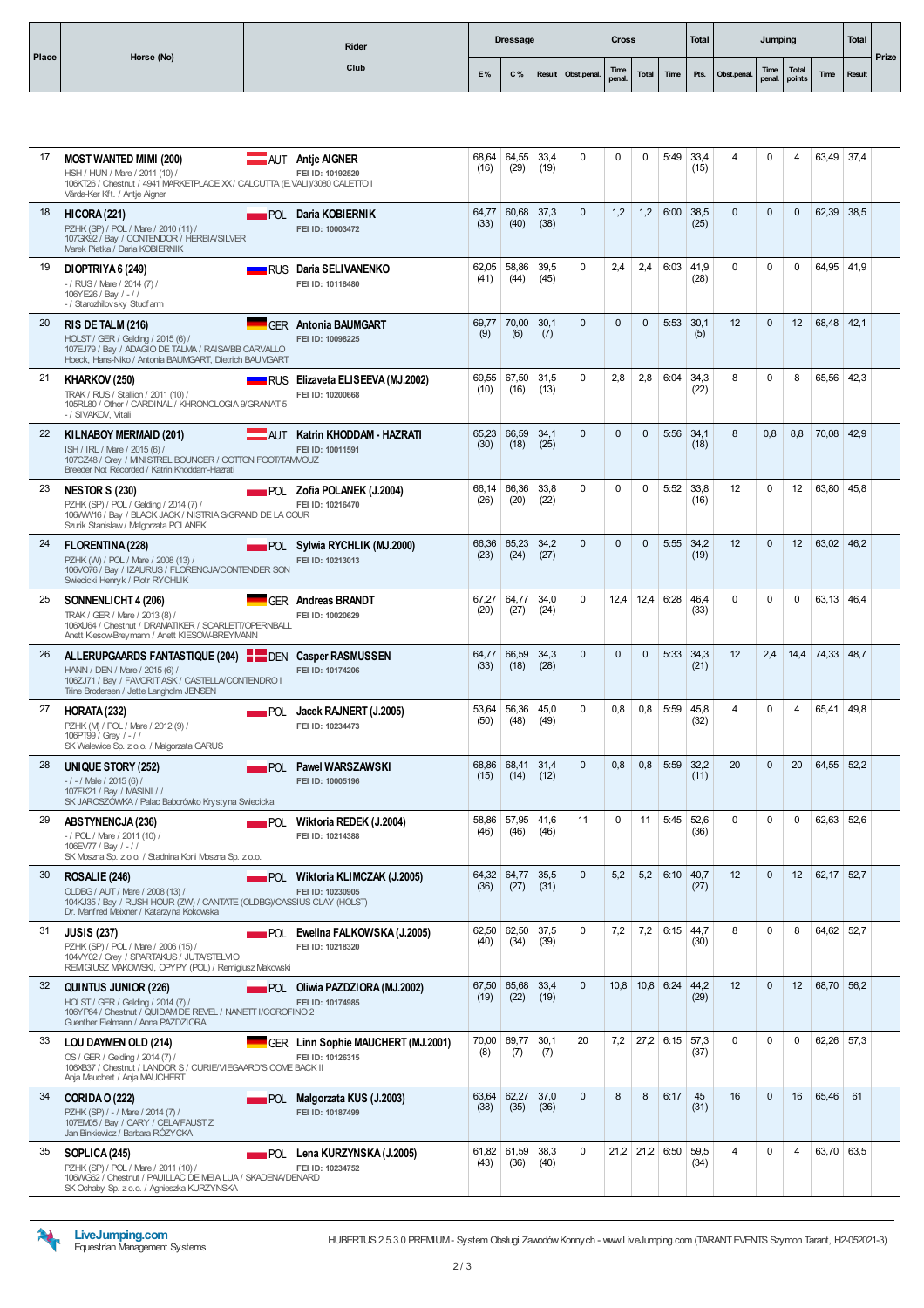| <b>Place</b> | Horse (No) | Rider |    | <b>Dressage</b> |                                    | <b>Cross</b> |  | Total |                             | Jumping |                | Total         | Prize |
|--------------|------------|-------|----|-----------------|------------------------------------|--------------|--|-------|-----------------------------|---------|----------------|---------------|-------|
|              |            | Club  | E% | $C\%$           | Result Obst.penal. Time Total Time |              |  |       | Pts. Obst.penal. Time Total |         | $\lfloor$ Time | <b>Result</b> |       |

| 17 | <b>MOST WANTED MIMI (200)</b><br>HSH / HUN / Mare / 2011 (10) /<br>106KT26 / Chestnut / 4941 MARKETPLACE XX / CALCUTTA (E VALI)/3080 CALETTO I<br>Várda-Ker Kft. / Antje Aigner         | AUT Antje AIGNER<br>FEI ID: 10192520                            | 68,64<br>(16) | 64,55<br>(29)       | 33,4<br>(19) | $\mathbf 0$  | $\mathbf 0$  | $\Omega$     | 5:49             | 33,4<br>(15) | $\overline{4}$ | $\mathbf 0$  | 4                 | 63,49        | 37,4 |  |
|----|-----------------------------------------------------------------------------------------------------------------------------------------------------------------------------------------|-----------------------------------------------------------------|---------------|---------------------|--------------|--------------|--------------|--------------|------------------|--------------|----------------|--------------|-------------------|--------------|------|--|
| 18 | <b>HICORA (221)</b><br>POL<br>PZHK (SP) / POL / Mare / 2010 (11) /<br>107GK92 / Bay / CONTENDOR / HERBIA/SILVER<br>Marek Pietka / Daria KOBIERNIK                                       | Daria KOBIERNIK<br>FEI ID: 10003472                             | 64,77<br>(33) | 60,68<br>(40)       | 37,3<br>(38) | $\Omega$     | 1,2          | 1,2          | 6:00             | 38,5<br>(25) | $\Omega$       | $\Omega$     | $\Omega$          | 62,39        | 38,5 |  |
| 19 | DIOPTRIYA 6 (249)<br>-/ RUS / Mare / 2014 (7) /<br>106YE26 / Bay / -//<br>- / Starozhilovsky Studfarm                                                                                   | <b>NATIONAL BRITTER DATA SELIVANENKO</b><br>FEI ID: 10118480    | 62,05<br>(41) | 58,86<br>(44)       | 39,5<br>(45) | $\Omega$     | 2,4          | 2,4          | 6:03             | 41,9<br>(28) | $\Omega$       | $\Omega$     | $\Omega$          | 64,95 41,9   |      |  |
| 20 | RIS DE TALM (216)<br>HOLST / GER / Gelding / 2015 (6) /<br>107EJ79 / Bay / ADAGIO DE TALMA / RAISA/BB CARVALLO<br>Hoeck, Hans-Niko / Antonia BAUMGART, Dietrich BAUMGART                | <b>GER</b> Antonia BAUMGART<br>FEI ID: 10098225                 | 69.77<br>(9)  | 70,00<br>(6)        | 30,1<br>(7)  | $\Omega$     | $\mathbf{0}$ | $\Omega$     | 5:53             | 30,1<br>(5)  | 12             | $\Omega$     | $12 \overline{ }$ | 68,48        | 42,1 |  |
| 21 | KHARKOV (250)<br>TRAK / RUS / Stallion / 2011 (10) /<br>105RL80 / Other / CARDINAL / KHRONOLOGIA 9/GRANAT 5<br>- / SIVAKOV, Vitali                                                      | RUS Elizaveta ELISEEVA (MJ.2002)<br>FEI ID: 10200668            | 69,55<br>(10) | 67,50<br>(16)       | 31,5<br>(13) | $\Omega$     | 2,8          | 2,8          | 6:04             | 34,3<br>(22) | 8              | $\Omega$     | 8                 | 65,56        | 42,3 |  |
| 22 | KILNABOY MERMAID (201)<br>ISH / IRL / Mare / 2015 (6) /<br>107CZ48 / Grey / MINISTREL BOUNCER / COTTON FOOT/TAMMOUZ<br>Breeder Not Recorded / Katrin Khoddam-Hazrati                    | AUT Katrin KHODDAM - HAZRATI<br>FEI ID: 10011591                | 65,23<br>(30) | 66,59<br>(18)       | 34.1<br>(25) | $\Omega$     | $\Omega$     | $\Omega$     | 5:56             | 34.1<br>(18) | 8              | 0,8          | 8,8               | 70,08 42,9   |      |  |
| 23 | <b>NESTOR S (230)</b><br>PZHK (SP) / POL / Gelding / 2014 (7) /<br>106WW16 / Bay / BLACK JACK / NISTRIA S/GRAND DE LA COUR<br>Szurik Stanislaw / Malgorzata POLANEK                     | $POL$ Zofia POLANEK (J.2004)<br>FEI ID: 10216470                | 66.14<br>(26) | 66.36<br>(20)       | 33.8<br>(22) | $\mathbf 0$  | $\mathbf 0$  | $\Omega$     | 5:52             | 33.8<br>(16) | 12             | $\mathbf 0$  | 12                | 63,80        | 45,8 |  |
| 24 | <b>FLORENTINA (228)</b><br>PZHK (W) / POL / Mare / 2008 (13) /<br>106VO76 / Bay / IZAURUS / FLORENCJA/CONTENDER SON<br>Swiecicki Henryk / Piotr RYCHLIK                                 | $\blacksquare$ POL Sylwia RYCHLIK (MJ.2000)<br>FEI ID: 10213013 | 66,36<br>(23) | 65,23<br>(24)       | 34,2<br>(27) | $\mathbf{0}$ | $\mathbf{0}$ | $\mathbf{0}$ | 5:55             | 34,2<br>(19) | 12             | $\mathbf{0}$ | 12                | 63,02        | 46,2 |  |
| 25 | SONNENLICHT 4 (206)<br>TRAK / GER / Mare / 2013 (8) /<br>106XU64 / Chestnut / DRAWATIKER / SCARLETT/OPERNBALL<br>Anett Kiesow-Breymann / Anett KIESOW-BREYMANN                          | <b>GER Andreas BRANDT</b><br>FEI ID: 10020629                   | 67,27<br>(20) | 64,77<br>(27)       | 34,0<br>(24) | 0            | 12,4         | 12,4         | 6:28             | 46,4<br>(33) | $\mathbf 0$    | $\mathbf 0$  | 0                 | 63,13        | 46,4 |  |
| 26 | ALLERUPGAARDS FANTASTIQUE (204) DEN Casper RASMUSSEN<br>HANN / DEN / Mare / 2015 (6) /<br>106ZJ71 / Bay / FAVORIT ASK / CASTELLA/CONTENDRO I<br>Trine Brodersen / Jette Langholm JENSEN | FEI ID: 10174206                                                | 64,77<br>(33) | 66,59<br>(18)       | 34,3<br>(28) | $\Omega$     | $\mathbf{0}$ | 0            | 5:33             | 34,3<br>(21) | 12             | 2,4          |                   | 14,4 74,33   | 48,7 |  |
| 27 | HORATA (232)<br>PZHK (M) / POL / Mare / 2012 (9) /<br>106PT99 / Grey / -//<br>SK Walewice Sp. z o.o. / Malgorzata GARUS                                                                 | POL Jacek RAJNERT (J.2005)<br>FEI ID: 10234473                  | 53,64<br>(50) | 56.36<br>(48)       | 45,0<br>(49) | $\Omega$     | 0,8          | 0,8          | 5:59             | 45,8<br>(32) | $\overline{4}$ | $\Omega$     | 4                 | 65,41        | 49,8 |  |
| 28 | UNIQUE STORY (252)<br>$-1 - 1$ Male $1$ 2015 (6) $1$<br>107FK21 / Bav / MASINI / /<br>SK JAROSZÓWKA / Palac Baborówko Krystyna Swiecicka                                                | POL Pawel WARSZAWSKI<br>FEI ID: 10005196                        | 68,86<br>(15) | 68,41<br>(14)       | 31,4<br>(12) | $\mathbf{0}$ | 0,8          | 0,8          | 5:59             | 32,2<br>(11) | 20             | $\mathbf{0}$ | 20                | 64,55        | 52,2 |  |
| 29 | ABSTYNENCJA (236)<br>$\blacksquare$ POL<br>- / POL / Mare / 2011 (10) /<br>106EV77 / Bay / -//<br>SK Moszna Sp. z o.o. / Stadnina Koni Moszna Sp. z o.o.                                | Wiktoria REDEK (J.2004)<br>FEI ID: 10214388                     | 58,86<br>(46) | 57,95<br>(46)       | 41,6<br>(46) | 11           | $\Omega$     | 11           | 5:45             | 52,6<br>(36) | $\Omega$       | $\Omega$     | 0                 | 62,63        | 52,6 |  |
| 30 | ROSALIE (246)<br>OLDBG / AUT / Mare / 2008 (13) /<br>104KJ35 / Bay / RUSH HOUR (ZW) / CANTATE (OLDBG)/CASSIUS CLAY (HOLST)<br>Dr. Manfred Meixner / Katarzyna Kokowska                  | <b>POL</b> Wiktoria KLIMCZAK (J.2005)<br>FEI ID: 10230905       | (36)          | 64.32 64.77<br>(27) | 35,5<br>(31) | $\Omega$     | 5,2          |              | $5,2$ 6:10       | 40,7<br>(27) | 12             | $\Omega$     | 12 <sup>1</sup>   | $62,17$ 52,7 |      |  |
| 31 | <b>JUSIS (237)</b><br>PZHK (SP) / POL / Mare / 2006 (15) /<br>104VY02 / Grey / SPARTAKUS / JUTA/STELVIO<br>REMGIUSZ MAKOWSKI, OPYPY (POL) / Remigiusz Makowski                          | POL Ewelina FALKOWSKA (J.2005)<br>FEI ID: 10218320              | (40)          | 62,50 62,50<br>(34) | 37,5<br>(39) | $\mathbf 0$  | 7,2          |              | $7,2$ 6:15       | 44,7<br>(30) | 8              | $\Omega$     | 8                 | 64,62 52,7   |      |  |
| 32 | QUINTUS JUNIOR (226)<br>HOLST / GER / Gelding / 2014 (7) /<br>106YP84 / Chestnut / QUIDAM DE REVEL / NANETT I/COROFINO 2<br>Guenther Fielmann / Anna PAZDZIORA                          | <b>POL</b> Oliwia PAZDZIORA (MJ.2002)<br>FEI ID: 10174985       | (19)          | 67,50 65,68<br>(22) | 33,4<br>(19) | $\Omega$     |              |              | $10.8$ 10.8 6:24 | 44,2<br>(29) | 12             | $\Omega$     | 12                | 68,70        | 56,2 |  |
| 33 | LOU DAYMEN OLD (214)<br>OS / GER / Gelding / 2014 (7) /<br>106XB37 / Chestnut / LANDOR S / CURIE/VIEGAARD'S COME BACK II<br>Anja Mauchert / Anja MAUCHERT                               | GER Linn Sophie MAUCHERT (MJ.2001)<br>FEI ID: 10126315          | (8)           | 70,00 69,77<br>(7)  | 30,1<br>(7)  | 20           | 7,2          |              | $27,2$ 6:15      | 57,3<br>(37) | $\Omega$       | $\Omega$     | $\Omega$          | $62,26$ 57,3 |      |  |
| 34 | <b>CORIDA O (222)</b><br>PZHK (SP) / - / Mare / 2014 (7) /<br>107EM05 / Bay / CARY / CELA/FAUST Z<br>Jan Binkiewicz / Barbara RÓZYCKA                                                   | <b>POL</b> Malgorzata KUS (J.2003)<br>FEI ID: 10187499          | 63,64<br>(38) | 62,27<br>(35)       | 37,0<br>(36) | $\Omega$     | 8            | 8            | 6:17             | 45<br>(31)   | 16             | $\Omega$     | 16                | 65,46        | 61   |  |
| 35 | SOPLICA (245)<br>PZHK (SP) / POL / Mare / 2011 (10) /<br>106WG62 / Chestnut / PAUILLAC DE MEIA LUA / SKADENA/DENARD<br>SK Ochaby Sp. z o.o. / Agnieszka KURZYNSKA                       | POL Lena KURZYNSKA (J.2005)<br>FEI ID: 10234752                 | (43)          | 61,82 61,59<br>(36) | 38,3<br>(40) | $\Omega$     |              |              | $21,2$ 21,2 6:50 | 59,5<br>(34) | $\overline{4}$ | $\Omega$     | 4                 | 63,70 63,5   |      |  |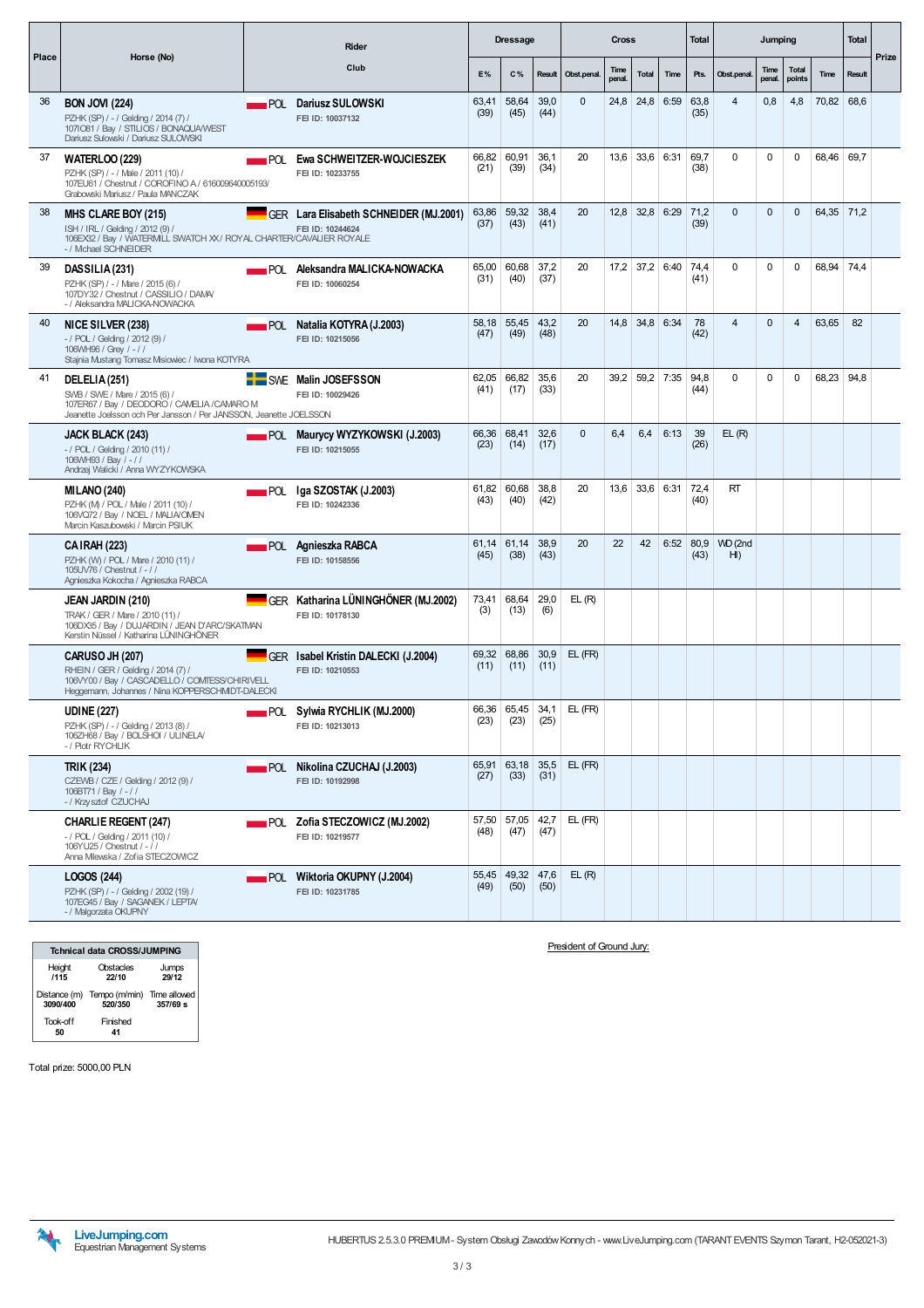|       |                                                                                                                                                                     |                    | Rider                                                      |               | <b>Dressage</b>     |              |              | <b>Cross</b>   |             |      | <b>Total</b> |                           | Jumping        |                        |            | <b>Total</b> |       |
|-------|---------------------------------------------------------------------------------------------------------------------------------------------------------------------|--------------------|------------------------------------------------------------|---------------|---------------------|--------------|--------------|----------------|-------------|------|--------------|---------------------------|----------------|------------------------|------------|--------------|-------|
| Place | Horse (No)                                                                                                                                                          |                    | Club                                                       | E%            | C%                  | Result       | Obst.penal   | Time<br>penal. | Total       | Time | Pts.         | Obst.penal.               | Time<br>penal. | <b>Total</b><br>points | Time       | Result       | Prize |
| 36    | <b>BON JOVI (224)</b><br>PZHK (SP) / - / Gelding / 2014 (7) /<br>1071081 / Bay / STILIOS / BONAQUA/WEST<br>Dariusz Sulowski / Dariusz SULOWSKI                      |                    | POL Dariusz SULOWSKI<br>FEI ID: 10037132                   | 63.41<br>(39) | 58,64<br>(45)       | 39.0<br>(44) | $\mathbf{0}$ |                | $24,8$ 24,8 | 6:59 | 63,8<br>(35) | $\overline{4}$            | 0,8            | 4,8                    | 70,82 68,6 |              |       |
| 37    | <b>WATERLOO (229)</b><br>PZHK (SP) / - / Male / 2011 (10) /<br>107EU61 / Chestnut / COROFINO A / 616009640005193/<br>Grabowski Mariusz / Paula MANCZAK              | $\blacksquare$ POL | Ewa SCHWEITZER-WOJCIESZEK<br>FEI ID: 10233755              | 66,82<br>(21) | 60,91<br>(39)       | 36,1<br>(34) | 20           |                | $13,6$ 33,6 | 6:31 | 69,7<br>(38) | $\mathbf 0$               | $\mathbf 0$    | 0                      | 68,46      | 69,7         |       |
| 38    | MHS CLARE BOY (215)<br>ISH / IRL / Gelding / 2012 (9) /<br>106EX32 / Bay / WATERMILL SWATCH XX / ROYAL CHARTER/CAVALIER ROYALE<br>- / Michael SCHNEIDER             |                    | GER Lara Elisabeth SCHNEIDER (MJ.2001)<br>FEI ID: 10244624 | 63,86<br>(37) | 59,32<br>(43)       | 38,4<br>(41) | 20           |                | $12,8$ 32,8 | 6:29 | 71,2<br>(39) | $\Omega$                  | $\Omega$       | $\mathbf{0}$           | 64,35 71,2 |              |       |
| 39    | DASSILIA (231)<br>PZHK (SP) / - / Mare / 2015 (6) /<br>107DY32 / Chestnut / CASSILIO / DAMA/<br>- / Aleksandra MALICKA-NOWACKA                                      |                    | POL Aleksandra MALICKA-NOWACKA<br>FEI ID: 10060254         | 65,00<br>(31) | 60,68<br>(40)       | 37,2<br>(37) | 20           |                | $17,2$ 37,2 | 6:40 | 74.4<br>(41) | $\Omega$                  | $\Omega$       | $\Omega$               | 68,94      | 74,4         |       |
| 40    | NICE SILVER (238)<br>$-$ / POL / Gelding / 2012 (9) /<br>106VVH96 / Grey / - / /<br>Stajnia Mustang Tomasz Msiowiec / Iwona KOTYRA                                  |                    | <b>POL</b> Natalia KOTYRA (J.2003)<br>FEI ID: 10215056     | 58,18<br>(47) | 55,45<br>(49)       | 43,2<br>(48) | 20           |                | $14,8$ 34,8 | 6:34 | 78<br>(42)   | $\overline{4}$            | $\Omega$       | 4                      | 63,65      | 82           |       |
| 41    | DELELIA (251)<br>SWB / SWE / Mare / 2015 (6) /<br>107ER67 / Bay / DEODORO / CAMELIA /CAMARO M<br>Jeanette Joelsson och Per Jansson / Per JANSSON, Jeanette JOELSSON |                    | <b>E</b> SWE Malin JOSEFSSON<br>FEI ID: 10029426           | 62,05<br>(41) | 66,82<br>(17)       | 35,6<br>(33) | 20           |                | $39,2$ 59,2 | 7:35 | 94,8<br>(44) | 0                         | $\Omega$       | $\mathbf 0$            | 68,23 94,8 |              |       |
|       | JACK BLACK (243)<br>$-$ / POL / Gelding / 2010 (11) /<br>106WH93 / Bay / -//<br>Andrzej Walicki / Anna WYZYKOWSKA                                                   |                    | <b>POL Maurycy WYZYKOWSKI (J.2003)</b><br>FEI ID: 10215055 | 66,36<br>(23) | 68,41<br>(14)       | 32,6<br>(17) | $\Omega$     | 6,4            | 6,4         | 6:13 | 39<br>(26)   | EL(R)                     |                |                        |            |              |       |
|       | <b>MILANO (240)</b><br>PZHK (M) / POL / Male / 2011 (10) /<br>106VQ72 / Bay / NOEL / MALIA/OMEN<br>Marcin Kaszubowski / Marcin PSIUK                                | <b>POL</b>         | Iga SZOSTAK (J.2003)<br>FEI ID: 10242336                   | 61,82<br>(43) | 60,68<br>(40)       | 38,8<br>(42) | 20           |                | $13,6$ 33,6 | 6:31 | 72,4<br>(40) | RT                        |                |                        |            |              |       |
|       | <b>CAIRAH (223)</b><br>PZHK (W) / POL / Mare / 2010 (11) /<br>105UV76 / Chestnut / -//<br>Agnieszka Kokocha / Agnieszka RABCA                                       |                    | ▄▄▄ POL Aqnieszka RABCA<br>FEI ID: 10158556                | 61,14<br>(45) | 61,14<br>(38)       | 38,9<br>(43) | 20           | 22             | 42          | 6:52 | 80,9<br>(43) | WD (2nd<br>H <sub>l</sub> |                |                        |            |              |       |
|       | JEAN JARDIN (210)<br>TRAK / GER / Mare / 2010 (11) /<br>106DX35 / Bay / DUJARDIN / JEAN D'ARC/SKATMAN<br>Kerstin Nüssel / Katharina LÜNINGHÖNER                     |                    | GER Katharina LÜNINGHÖNER (MJ.2002)<br>FEI ID: 10178130    | 73,41<br>(3)  | 68,64<br>(13)       | 29,0<br>(6)  | EL(R)        |                |             |      |              |                           |                |                        |            |              |       |
|       | <b>CARUSO JH (207)</b><br>RHEIN / GER / Gelding / 2014 (7) /<br>106VY00 / Bay / CASCADELLO / COMTESS/CHIRIVELL<br>Heggemann, Johannes / Nina KOPPERSCHMIDT-DALECKI  |                    | GER Isabel Kristin DALECKI (J.2004)<br>FEI ID: 10210553    | (11)          | 69,32 68,86<br>(11) | 30,9<br>(11) | $EL$ (FR)    |                |             |      |              |                           |                |                        |            |              |       |
|       | <b>UDINE (227)</b><br>PZHK (SP) / - / Gelding / 2013 (8) /<br>106ZH68 / Bay / BOLSHOI / ULINELA/<br>- / Piotr RYCHLIK                                               |                    | POL Sylwia RYCHLIK (MJ.2000)<br>FEI ID: 10213013           | (23)          | 66,36 65,45<br>(23) | 34,1<br>(25) | EL (FR)      |                |             |      |              |                           |                |                        |            |              |       |
|       | <b>TRIK (234)</b><br>CZEWB / CZE / Gelding / 2012 (9) /<br>106BT71 / Bay / - / /<br>- / Krzysztof CZUCHAJ                                                           |                    | <b>POL</b> Nikolina CZUCHAJ (J.2003)<br>FEI ID: 10192998   | (27)          | 65,91 63,18<br>(33) | 35,5<br>(31) | EL (FR)      |                |             |      |              |                           |                |                        |            |              |       |
|       | <b>CHARLIE REGENT (247)</b><br>- / POL / Gelding / 2011 (10) /<br>106YU25 / Chestnut $/ - / /$<br>Anna Mlewska / Zofia STECZOWICZ                                   |                    | <b>POL Zofia STECZOWICZ (MJ.2002)</b><br>FEI ID: 10219577  | (48)          | 57,50 57,05<br>(47) | 42,7<br>(47) | EL (FR)      |                |             |      |              |                           |                |                        |            |              |       |
|       | LOGOS (244)<br>PZHK (SP) / - / Gelding / 2002 (19) /<br>107EG45 / Bay / SAGANEK / LEPTA/<br>- / Malgorzata OKUPNY                                                   |                    | POL Wiktoria OKUPNY (J.2004)<br>FEI ID: 10231785           | (49)          | 55,45 49,32<br>(50) | 47,6<br>(50) | EL(R)        |                |             |      |              |                           |                |                        |            |              |       |

|                | <b>Tchnical data CROSS/JUMPING</b>                 |                |
|----------------|----------------------------------------------------|----------------|
| Height<br>1115 | Obstacles<br>22/10                                 | Jumps<br>29/12 |
| 3090/400       | Distance (m) Tempo (m/min) Time allowed<br>520/350 | 357/69 s       |
| Took-off       | Finished                                           |                |

President of Ground Jury:

Total prize: 5000,00 PLN

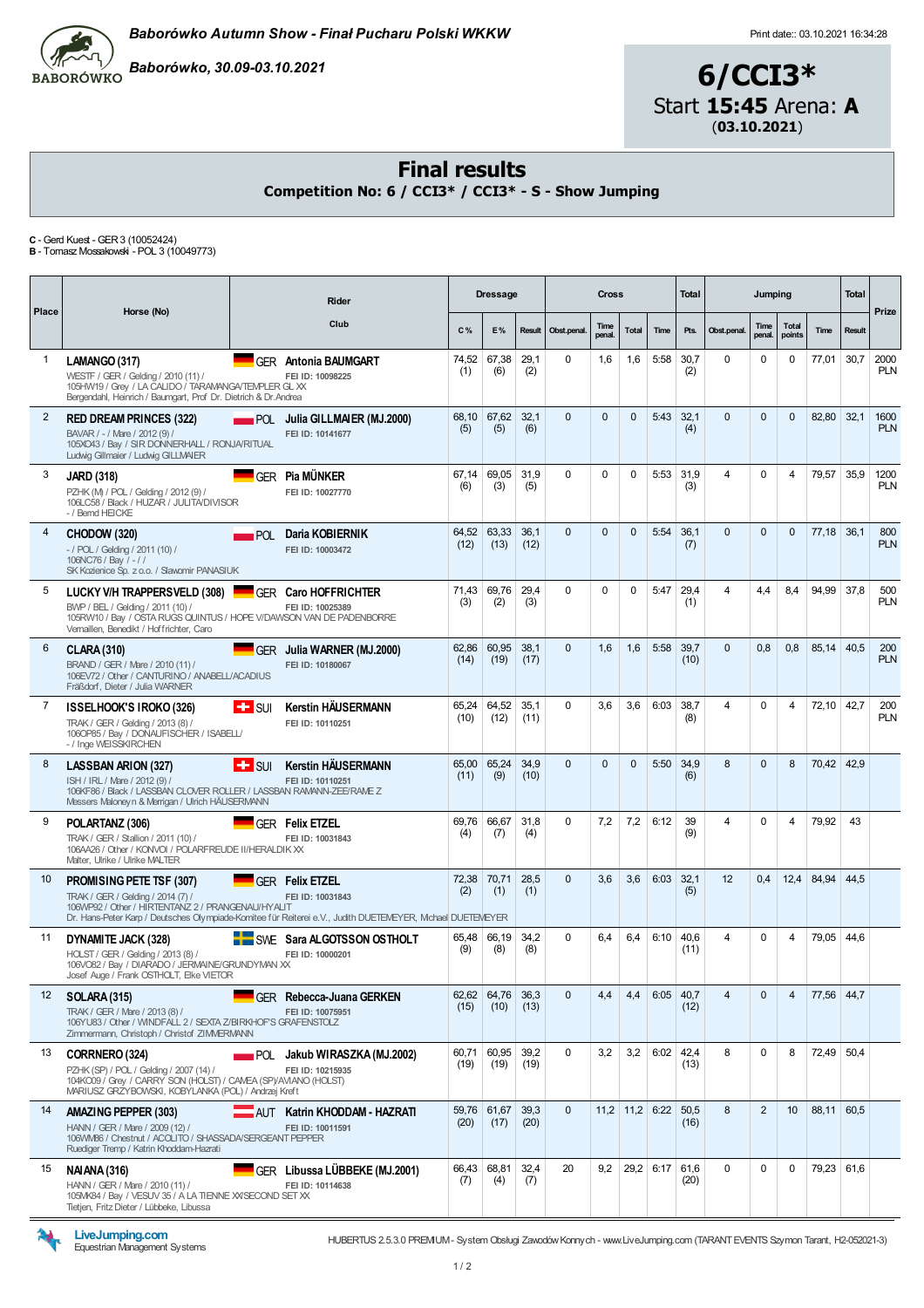

 $\frac{1}{10}$ Baborówko, 30.09-03.10.2021<br>BABORÓWKO

## 6/CCI3\* Start 15:45 Arena: A (03.10.2021)

#### Final results

Competition No: 6 / CCI3\* / CCI3\* - S - Show Jumping

**C** - Gerd Kuest - GER 3 (10052424)<br>**B** - Tomasz Mossakowski - POL 3 (10049773)

| Place          | Horse (No)                                                                                                                                                                            |                                  | <b>Rider</b>                                                                                                                                            |               | <b>Dressage</b>    |              |              | <b>Cross</b>   |                  |             | <b>Total</b> |                         | Jumping        |                        |            | <b>Total</b> | Prize              |
|----------------|---------------------------------------------------------------------------------------------------------------------------------------------------------------------------------------|----------------------------------|---------------------------------------------------------------------------------------------------------------------------------------------------------|---------------|--------------------|--------------|--------------|----------------|------------------|-------------|--------------|-------------------------|----------------|------------------------|------------|--------------|--------------------|
|                |                                                                                                                                                                                       |                                  | Club                                                                                                                                                    | C%            | E%                 | Result       | Obst.penal.  | Time<br>penal. | <b>Total</b>     | Time        | Pts.         | Obst.penal.             | Time<br>penal. | <b>Total</b><br>points | Time       | Result       |                    |
| 1              | LAMANGO (317)<br>WESTF / GER / Gelding / 2010 (11) /<br>105HW19 / Grey / LA CALIDO / TARAMANGA/TEMPLER GL XX<br>Bergendahl, Heinrich / Baumgart, Prof Dr. Dietrich & Dr. Andrea       |                                  | <b>GER</b> Antonia BAUMGART<br>FEI ID: 10098225                                                                                                         | 74,52<br>(1)  | 67,38<br>(6)       | 29,1<br>(2)  | $\Omega$     | 1,6            | 1,6              | 5:58        | 30.7<br>(2)  | $\Omega$                | $\Omega$       | 0                      | 77,01      | 30,7         | 2000<br><b>PLN</b> |
| $\overline{2}$ | <b>RED DREAM PRINCES (322)</b><br>BAVAR / - / Mare / 2012 (9) /<br>105XO43 / Bay / SIR DONNERHALL / RONJA/RITUAL<br>Ludwig Gillmaier / Ludwig GILLMAIER                               |                                  | POL Julia GILLMAIER (MJ.2000)<br>FEI ID: 10141677                                                                                                       | 68,10<br>(5)  | 67,62<br>(5)       | 32,1<br>(6)  | $\Omega$     | $\Omega$       | $\Omega$         | 5:43        | 32,1<br>(4)  | $\Omega$                | $\Omega$       | $\Omega$               | 82,80      | 32,1         | 1600<br><b>PLN</b> |
| 3              | <b>JARD (318)</b><br>PZHK (M) / POL / Gelding / 2012 (9) /<br>106LC58 / Black / HUZAR / JULITA/DIVISOR<br>- / Bernd HEICKE                                                            |                                  | GER Pia MÜNKER<br>FEI ID: 10027770                                                                                                                      | 67,14<br>(6)  | 69,05<br>(3)       | 31,9<br>(5)  | $\Omega$     | $\Omega$       | $\Omega$         | 5:53        | 31,9<br>(3)  | 4                       | $\Omega$       | 4                      | 79,57      | 35,9         | 1200<br><b>PLN</b> |
| 4              | CHODOW (320)<br>$-$ / POL / Gelding / 2011 (10) /<br>106NC76 / Bay / -//<br>SK Kozienice Sp. z o.o. / Slawomir PANASIUK                                                               |                                  | POL Daria KOBIERNIK<br>FEI ID: 10003472                                                                                                                 | 64,52<br>(12) | 63,33<br>(13)      | 36,1<br>(12) | $\Omega$     | $\Omega$       | $\Omega$         | 5:54        | 36,1<br>(7)  | $\Omega$                | $\Omega$       | $\Omega$               | 77,18      | 36,1         | 800<br><b>PLN</b>  |
| 5              | LUCKY V/H TRAPPERSVELD (308)<br>BWP / BEL / Geldina / 2011 (10) /<br>105RW10 / Bay / OSTA RUGS QUINTUS / HOPE V/DAWSON VAN DE PADENBORRE<br>Vernaillen, Benedikt / Hoffrichter, Caro  |                                  | <b>GER Caro HOFFRICHTER</b><br>FEI ID: 10025389                                                                                                         | 71,43<br>(3)  | 69,76<br>(2)       | 29,4<br>(3)  | 0            | $\Omega$       | $\Omega$         | 5:47        | 29,4<br>(1)  | 4                       | 4,4            | 8,4                    | 94,99      | 37,8         | 500<br><b>PLN</b>  |
| 6              | <b>CLARA (310)</b><br>BRAND / GER / Mare / 2010 (11) /<br>106EV72 / Other / CANTURINO / ANABELL/ACADIUS<br>Fräßdorf, Dieter / Julia WARNER                                            |                                  | GER Julia WARNER (MJ.2000)<br>FEI ID: 10180067                                                                                                          | 62.86<br>(14) | 60.95<br>(19)      | 38.1<br>(17) | $\Omega$     | 1.6            | 1,6              | 5:58        | 39.7<br>(10) | $\Omega$                | 0.8            | 0.8                    | 85.14      | 40.5         | 200<br><b>PLN</b>  |
| 7              | <b>ISSELHOOK'S IROKO (326)</b><br>TRAK / GER / Gelding / 2013 (8) /<br>106OP85 / Bay / DONAUFISCHER / ISABELL/<br>- / Inge WEISSKIRCHEN                                               | $\pm$ surf                       | <b>Kerstin HÄUSERMANN</b><br>FEI ID: 10110251                                                                                                           | 65.24<br>(10) | 64,52<br>(12)      | 35.1<br>(11) | $\Omega$     | 3.6            | 3,6              | 6:03        | 38.7<br>(8)  | 4                       | $\Omega$       | 4                      | 72,10      | 42,7         | 200<br><b>PLN</b>  |
| 8              | <b>LASSBAN ARION (327)</b><br>ISH / IRL / Mare / 2012 (9) /<br>106KF86 / Black / LASSBAN CLOVER ROLLER / LASSBAN RAMANN-ZEE/RAME Z<br>Messers Maloneyn & Merrigan / Ulrich HÄUSERMANN | $\left  \frac{1}{2} \right $ SUI | <b>Kerstin HÄUSERMANN</b><br>FEI ID: 10110251                                                                                                           | 65,00<br>(11) | 65,24<br>(9)       | 34,9<br>(10) | $\Omega$     | $\Omega$       | $\Omega$         | 5:50        | 34,9<br>(6)  | 8                       | $\Omega$       | 8                      | 70,42 42,9 |              |                    |
| 9              | POLARTANZ (306)<br>TRAK / GER / Stallion / 2011 (10) /<br>106AA26 / Other / KONVOI / POLARFREUDE II/HERALDIK XX<br>Malter, Ulrike / Ulrike MALTER                                     |                                  | GER Felix ETZEL<br>FEI ID: 10031843                                                                                                                     | 69,76<br>(4)  | 66,67<br>(7)       | 31,8<br>(4)  | $\Omega$     | 7,2            | 7,2              | 6:12        | 39<br>(9)    | 4                       | $\Omega$       | 4                      | 79,92      | 43           |                    |
| 10             | PROMISING PETE TSF (307)<br>TRAK / GER / Gelding / 2014 (7) /<br>106WP92 / Other / HIRTENTANZ 2 / PRANGENAU/HYALIT                                                                    |                                  | <b>GFR Felix ETZEL</b><br>FEI ID: 10031843<br>Dr. Hans-Peter Karp / Deutsches Olympiade-Komitee für Reiterei e.V., Judith DUETEMEYER, Mchael DUETEMEYER | 72,38<br>(2)  | 70,71<br>(1)       | 28,5<br>(1)  | $\mathbf{0}$ | 3,6            | 3,6              | 6:03        | 32,1<br>(5)  | 12                      | 0,4            | 12,4                   | 84,94      | 44,5         |                    |
| 11             | DYNAMITE JACK (328)<br>HOLST / GER / Gelding / 2013 (8) /<br>106VO82 / Bay / DIARADO / JERMAINE/GRUNDYMAN XX<br>Josef Auge / Frank OSTHOLT, Elke VIETOR                               |                                  | SWE Sara ALGOTSSON OSTHOLT<br>FEI ID: 10000201                                                                                                          | 65,48<br>(9)  | 66,19<br>(8)       | 34,2<br>(8)  | $\Omega$     | 6,4            | 6,4              | 6:10        | 40,6<br>(11) | 4                       | $\Omega$       | 4                      | 79,05      | 44,6         |                    |
| 12             | <b>SOLARA (315)</b><br>TRAK / GER / Mare / 2013 (8) /<br>106YU83 / Other / WINDFALL 2 / SEXTA Z/BIRKHOF'S GRAFENSTOLZ<br>Zimmermann, Christoph / Christof ZIMMERMANN                  |                                  | <b>GER</b> Rebecca-Juana GERKEN<br>FEI ID: 10075951                                                                                                     | 62,62<br>(15) | 64,76 36,3<br>(10) | (13)         | $\mathbf{0}$ | 4,4            | 4,4              | 6:05        | 40.7<br>(12) | $\overline{\mathbf{4}}$ | $\Omega$       | 4                      | 77,56 44,7 |              |                    |
| 13             | CORRNERO (324)<br>PZHK (SP) / POL / Gelding / 2007 (14) /<br>104KO09 / Grev / CARRY SON (HOLST) / CAMEA (SP)/AVIANO (HOLST)<br>MARIUSZ GRZYBOWSKI, KOBYLANKA (POL) / Andrzej Kreft    |                                  | POL Jakub WIRASZKA (MJ.2002)<br>FEI ID: 10215935                                                                                                        | 60,71<br>(19) | 60,95<br>(19)      | 39,2<br>(19) | $\Omega$     | 3,2            | 3,2              | 6:02        | 42,4<br>(13) | 8                       | $\Omega$       | 8                      | 72,49      | 50,4         |                    |
| 14             | AMAZING PEPPER (303)<br>HANN / GER / Mare / 2009 (12) /<br>106VWB6 / Chestnut / ACOLITO / SHASSADA/SERGEANT PEPPER<br>Ruediger Tremp / Katrin Khoddam-Hazrati                         |                                  | AUT Katrin KHODDAM - HAZRATI<br>FEI ID: 10011591                                                                                                        | 59,76<br>(20) | 61,67<br>(17)      | 39,3<br>(20) | $\mathbf{0}$ |                | $11,2$ 11,2 6:22 |             | 50,5<br>(16) | 8                       | 2              | 10 <sup>°</sup>        | 88,11      | 60,5         |                    |
| 15             | <b>NAIANA (316)</b><br>HANN / GER / Mare / 2010 (11) /<br>105MK84 / Bay / VESUV 35 / A LA TIENNE XX/SECOND SET XX<br>Tietjen, Fritz Dieter / Lübbeke, Libussa                         |                                  | GER Libussa LÜBBEKE (MJ.2001)<br>FEI ID: 10114638                                                                                                       | 66,43<br>(7)  | 68,81<br>(4)       | 32,4<br>(7)  | 20           | 9,2            |                  | $29,2$ 6:17 | 61,6<br>(20) | $\Omega$                | 0              | 0                      | 79,23 61,6 |              |                    |



LiveJumping.com<br>Equestrian Management Systems

HUBERTUS 2.5.3.0 PREMIUM- System Obsługi ZawodówKonnych - www.LiveJumping.com (TARANTEVENTS Szymon Tarant, H2-052021-3)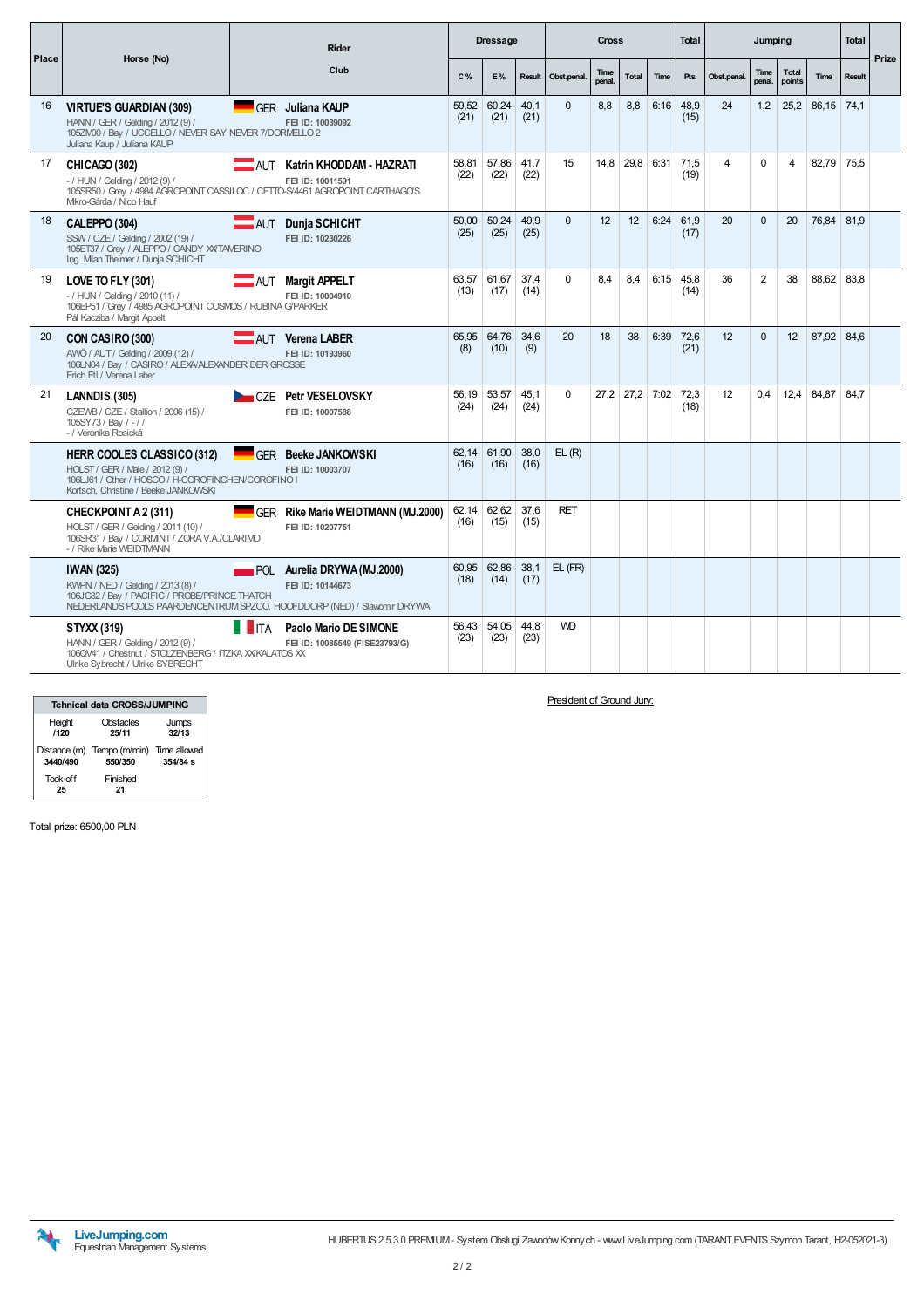| Place |                                                                                                                                                                    | <b>Rider</b>                                                                                                                               |               | <b>Dressage</b> |              |             | <b>Cross</b>          |                 |      | <b>Total</b>        |             | Jumping        |                        |              | <b>Total</b> | Prize |
|-------|--------------------------------------------------------------------------------------------------------------------------------------------------------------------|--------------------------------------------------------------------------------------------------------------------------------------------|---------------|-----------------|--------------|-------------|-----------------------|-----------------|------|---------------------|-------------|----------------|------------------------|--------------|--------------|-------|
|       | Horse (No)                                                                                                                                                         | Club                                                                                                                                       | C%            | E%              | Result       | Obst.penal. | <b>Time</b><br>penal. | <b>Total</b>    | Time | Pts.                | Obst.penal. | Time<br>penal. | <b>Total</b><br>points | Time         | Result       |       |
| 16    | <b>VIRTUE'S GUARDIAN (309)</b><br>HANN / GER / Gelding / 2012 (9) /<br>105ZM00 / Bay / UCCELLO / NEVER SAY NEVER 7/DORMELLO 2<br>Juliana Kaup / Juliana KAUP       | GFR Juliana KAUP<br>FEI ID: 10039092                                                                                                       | 59,52<br>(21) | 60,24<br>(21)   | 40.1<br>(21) | $\Omega$    | 8.8                   | 8.8             | 6:16 | 48.9<br>(15)        | 24          | 1,2            | 25,2                   | $86,15$ 74,1 |              |       |
| 17    | CHICAGO (302)<br>- / HUN / Geldina / 2012 (9) /<br>Mkro-Gárda / Nico Hauf                                                                                          | <b>AUT</b><br>Katrin KHODDAM - HAZRATI<br>FEI ID: 10011591<br>105SR50 / Grey / 4984 AGROPOINT CASSILOC / CETTÖ-S/4461 AGROPOINT CARTHAGO'S | 58.81<br>(22) | 57.86<br>(22)   | 41.7<br>(22) | 15          | 14.8                  | 29.8            | 6:31 | 71.5<br>(19)        | 4           | $\Omega$       | 4                      | 82.79        | 75.5         |       |
| 18    | CALEPPO (304)<br>SSW / CZE / Gelding / 2002 (19) /<br>105ET37 / Grey / ALEPPO / CANDY XXTAMERINO<br>Ing. Mian Theimer / Dunja SCHICHT                              | <b>AUT</b> Dunja SCHICHT<br>FEI ID: 10230226                                                                                               | 50.00<br>(25) | 50.24<br>(25)   | 49.9<br>(25) | $\Omega$    | 12                    | 12 <sup>2</sup> | 6:24 | 61.9<br>(17)        | 20          | $\Omega$       | 20                     | 76,84        | 81.9         |       |
| 19    | LOVE TO FLY (301)<br>- / HUN / Geldina / 2010 (11) /<br>106EP51 / Grey / 4985 AGROPOINT COSMOS / RUBINA G/PARKER<br>Pál Kacziba / Margit Appelt                    | AUT Margit APPELT<br>FEI ID: 10004910                                                                                                      | 63.57<br>(13) | 61.67<br>(17)   | 37.4<br>(14) | $\Omega$    | 8.4                   | 8.4             |      | $6:15$ 45.8<br>(14) | 36          | 2              | 38                     | 88.62 83.8   |              |       |
| 20    | CON CASIRO (300)<br>AWÖ / AUT / Gelding / 2009 (12) /<br>106LN04 / Bay / CASIRO / ALEXA/ALEXANDER DER GROSSE<br>Erich Etl / Verena Laber                           | AUT Verena LABER<br>FEI ID: 10193960                                                                                                       | 65.95<br>(8)  | 64.76<br>(10)   | 34.6<br>(9)  | 20          | 18                    | 38              | 6:39 | 72.6<br>(21)        | 12          | $\Omega$       | 12                     | 87.92 84.6   |              |       |
| 21    | LANNDIS (305)<br>CZEWB / CZE / Stallion / 2006 (15) /<br>105SY73 / Bay / - / /<br>- / Veronika Rosická                                                             | CZE Petr VESELOVSKY<br>FEI ID: 10007588                                                                                                    | 56,19<br>(24) | 53,57<br>(24)   | 45,1<br>(24) | $\mathbf 0$ | 27,2                  | 27,2            | 7:02 | 72,3<br>(18)        | 12          | 0.4            | 12,4                   | 84,87        | 84,7         |       |
|       | <b>HERR COOLES CLASSICO (312)</b><br>HOLST / GER / Male / 2012 (9) /<br>106LJ61 / Other / HOSCO / H-COROFINCHEN/COROFINO I<br>Kortsch. Christine / Beeke JANKOWSKI | <b>GFR Beeke JANKOWSKI</b><br>FEI ID: 10003707                                                                                             | 62,14<br>(16) | 61,90<br>(16)   | 38,0<br>(16) | EL(R)       |                       |                 |      |                     |             |                |                        |              |              |       |
|       | CHECKPOINT A 2 (311)<br>HOLST / GER / Gelding / 2011 (10) /<br>106SR31 / Bay / CORMINT / ZORA V.A./CLARIMO<br>- / Rike Marie WEIDTMANN                             | GER Rike Marie WEIDTMANN (MJ.2000)<br>FEI ID: 10207751                                                                                     | 62,14<br>(16) | 62,62<br>(15)   | 37,6<br>(15) | <b>RET</b>  |                       |                 |      |                     |             |                |                        |              |              |       |
|       | <b>IWAN (325)</b><br>KWPN / NED / Gelding / 2013 (8) /<br>106JG32 / Bay / PACIFIC / PROBE/PRINCE THATCH                                                            | POL Aurelia DRYWA (MJ.2000)<br>FEI ID: 10144673<br>NEDERLANDS POOLS PAARDENCENTRUM SPZOO, HOOFDDORP (NED) / Slawomir DRYWA                 | 60.95<br>(18) | 62.86<br>(14)   | 38,1<br>(17) | EL (FR)     |                       |                 |      |                     |             |                |                        |              |              |       |
|       | <b>STYXX (319)</b><br>HANN / GER / Gelding / 2012 (9) /<br>106QV41 / Chestnut / STOLZENBERG / ITZKA XXKALATOS XX<br>Ulrike Sybrecht / Ulrike SYBRECHT              | Paolo Mario DE SIMONE<br><b>TITA</b><br>FEI ID: 10085549 (FISE23793/G)                                                                     | 56,43<br>(23) | 54,05<br>(23)   | 44.8<br>(23) | <b>WD</b>   |                       |                 |      |                     |             |                |                        |              |              |       |

|                | <b>Tchnical data CROSS/JUMPING</b>    |                            |
|----------------|---------------------------------------|----------------------------|
| Height<br>1120 | Obstacles<br>25/11                    | Jumps<br>32/13             |
| 3440/490       | Distance (m) Tempo (m/min)<br>550/350 | Time allowed<br>$354/84$ s |
| Took-off<br>25 | Finished<br>21                        |                            |

Total prize: 6500,00 PLN

President of Ground Jury:

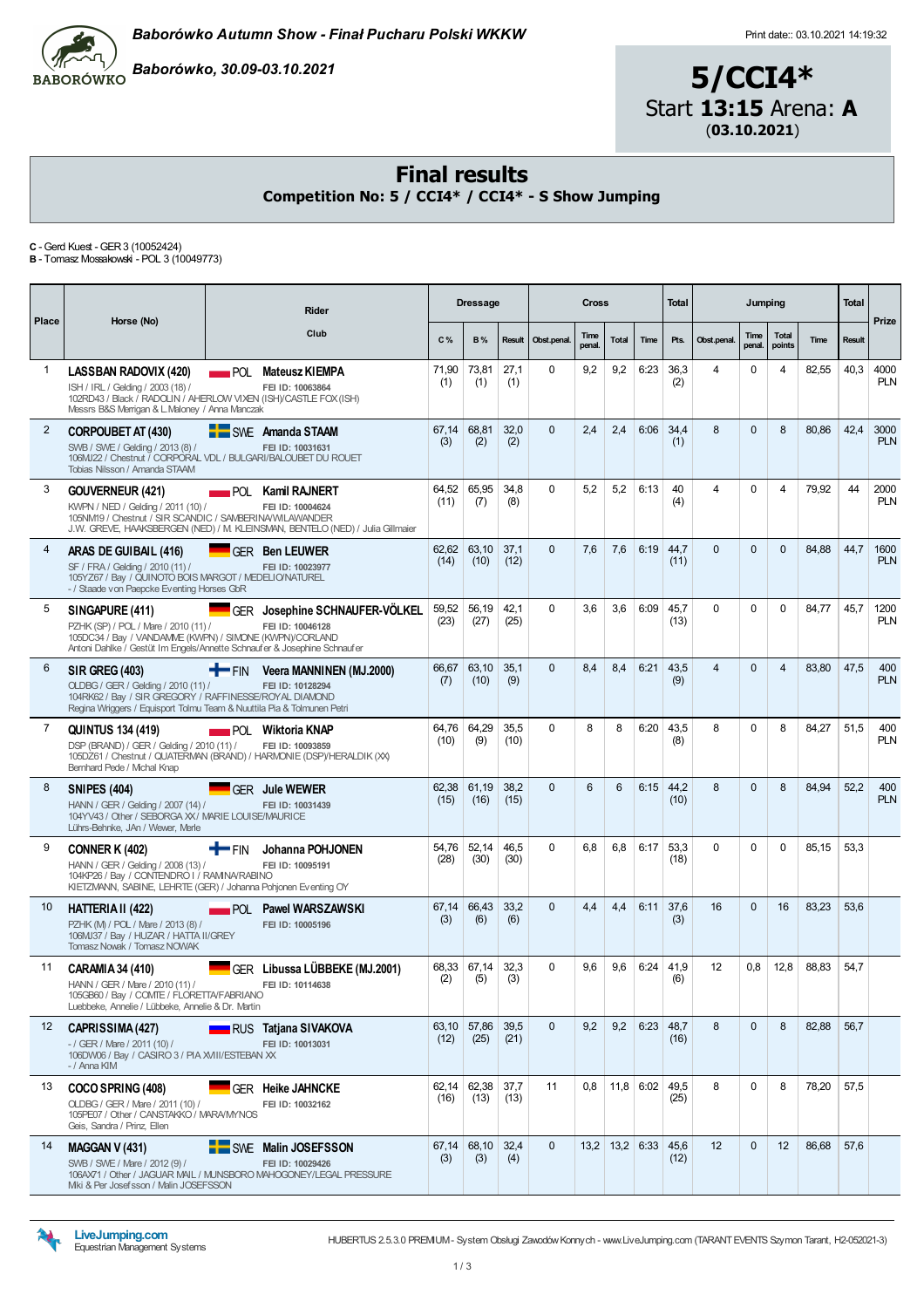

Baborówko, 30.09-03.10.2021

# 5/CCI4\* Start 13:15 Arena: A (03.10.2021)

### Final results

Competition No: 5 / CCI4\* / CCI4\* - S Show Jumping

C -Gerd Kuest -GER3 (10052424) B - Tomasz Mossakowski - POL 3 (10049773)

| Place          | Horse (No)                                                                                                                                                                                       |                    | Rider                                                                                                                  |               | <b>Dressage</b>     |              |             | <b>Cross</b>   |                  |             | Total        |                | Jumping        |                        |       | Total         | Prize              |
|----------------|--------------------------------------------------------------------------------------------------------------------------------------------------------------------------------------------------|--------------------|------------------------------------------------------------------------------------------------------------------------|---------------|---------------------|--------------|-------------|----------------|------------------|-------------|--------------|----------------|----------------|------------------------|-------|---------------|--------------------|
|                |                                                                                                                                                                                                  |                    | Club                                                                                                                   | C%            | <b>B%</b>           | Result       | Obst.penal. | Time<br>penal. | Total            | Time        | Pts.         | Obst.penal.    | Time<br>penal. | <b>Total</b><br>points | Time  | <b>Result</b> |                    |
| 1              | LASSBAN RADOVIX (420)<br>ISH / IRL / Gelding / 2003 (18) /<br>102RD43 / Black / RADOLIN / AHERLOW VIXEN (ISH)/CASTLE FOX (ISH)<br>Messrs B&S Merrigan & L. Maloney / Anna Manczak                |                    | <b>NATURAL Mateusz KIEMPA</b><br>FEI ID: 10063864                                                                      | 71.90<br>(1)  | 73,81<br>(1)        | 27,1<br>(1)  | $\Omega$    | 9,2            | 9,2              | 6:23        | 36,3<br>(2)  | 4              | 0              | 4                      | 82,55 | 40,3          | 4000<br><b>PLN</b> |
| $\overline{2}$ | <b>CORPOUBET AT (430)</b><br>SWB / SWE / Gelding / 2013 (8) /<br>106MJ22 / Chestnut / CORPORAL VDL / BULGARI/BALOUBET DU ROUET<br>Tobias Nilsson / Amanda STAAM                                  |                    | SWE Amanda STAAM<br>FEI ID: 10031631                                                                                   | 67,14<br>(3)  | 68,81<br>(2)        | 32,0<br>(2)  | $\Omega$    | 2,4            | 2,4              | 6:06        | 34,4<br>(1)  | 8              | $\mathbf{0}$   | 8                      | 80,86 | 42,4          | 3000<br><b>PLN</b> |
| 3              | <b>GOUVERNEUR (421)</b><br>KWPN / NED / Gelding / 2011 (10) /<br>105NM19 / Chestnut / SIR SCANDIC / SAMBERINA/WILAWANDER                                                                         |                    | POL Kamil RAJNERT<br>FEI ID: 10004624<br>J.W. GREVE, HAAKSBERGEN (NED) / M. KLEINSMAN, BENTELO (NED) / Julia Gillmaier | 64,52<br>(11) | 65,95<br>(7)        | 34,8<br>(8)  | $\Omega$    | 5,2            | 5,2              | 6:13        | 40<br>(4)    | 4              | $\Omega$       | 4                      | 79,92 | 44            | 2000<br><b>PLN</b> |
| 4              | ARAS DE GUIBAIL (416)<br>SF / FRA / Gelding / 2010 (11) /<br>105YZ67 / Bay / QUINOTO BOIS MARGOT / MEDELIO/NATUREL<br>- / Staade von Paepcke Eventing Horses GbR                                 |                    | <b>GER Ben LEUWER</b><br>FEI ID: 10023977                                                                              | 62,62<br>(14) | 63,10<br>(10)       | 37,1<br>(12) | $\Omega$    | 7,6            | 7,6              | 6:19        | 44,7<br>(11) | $\Omega$       | $\Omega$       | $\Omega$               | 84,88 | 44,7          | 1600<br><b>PLN</b> |
| 5              | SINGAPURE (411)<br>PZHK (SP) / POL / Mare / 2010 (11) /<br>105DC34 / Bay / VANDAMME (KWPN) / SIMONE (KWPN)/CORLAND<br>Antoni Dahlke / Gestüt Im Engels/Annette Schnaufer & Josephine Schnaufer   |                    | GER Josephine SCHNAUFER-VÖLKEL<br>FEI ID: 10046128                                                                     | 59,52<br>(23) | 56,19<br>(27)       | 42,1<br>(25) | $\Omega$    | 3,6            | 3,6              | 6:09        | 45,7<br>(13) | $\Omega$       | 0              | $\mathbf 0$            | 84,77 | 45,7          | 1200<br><b>PLN</b> |
| 6              | <b>SIR GREG (403)</b><br>OLDBG / GER / Gelding / 2010 (11) /<br>104RK62 / Bay / SIR GREGORY / RAFFINESSE/ROYAL DIAMOND<br>Regina Wriggers / Equisport Tolmu Team & Nuuttila Pia & Tolmunen Petri | <b>THE FIN</b>     | Veera MANNINEN (MJ.2000)<br>FEI ID: 10128294                                                                           | 66,67<br>(7)  | 63,10<br>(10)       | 35,1<br>(9)  | $\Omega$    | 8,4            | 8,4              | 6:21        | 43,5<br>(9)  | $\overline{4}$ | $\Omega$       | $\overline{4}$         | 83,80 | 47,5          | 400<br><b>PLN</b>  |
| $\overline{7}$ | <b>QUINTUS 134 (419)</b><br>DSP (BRAND) / GER / Gelding / 2010 (11) /<br>105DZ61 / Chestnut / QUATERMAN (BRAND) / HARMONIE (DSP)/HERALDIK (XX)<br>Bernhard Pede / Mchal Knap                     |                    | <b>NET POL Wiktoria KNAP</b><br>FEI ID: 10093859                                                                       | 64.76<br>(10) | 64,29<br>(9)        | 35.5<br>(10) | $\Omega$    | 8              | 8                | 6:20        | 43,5<br>(8)  | 8              | 0              | 8                      | 84,27 | 51,5          | 400<br><b>PLN</b>  |
| 8              | <b>SNIPES (404)</b><br>HANN / GER / Gelding / 2007 (14) /<br>104YV43 / Other / SEBORGA XX / MARIE LOUISE/MAURICE<br>Lührs-Behnke, JAn / Wewer, Merle                                             |                    | <b>GER</b> Jule WEWER<br>FEI ID: 10031439                                                                              | 62,38<br>(15) | 61,19<br>(16)       | 38,2<br>(15) | $\Omega$    | 6              | 6                | 6:15        | 44,2<br>(10) | 8              | $\mathbf{0}$   | 8                      | 84,94 | 52,2          | 400<br><b>PLN</b>  |
| 9              | <b>CONNER K (402)</b><br>HANN / GER / Gelding / 2008 (13) /<br>104KP26 / Bay / CONTENDRO I / RAMNA/RABINO<br>KIETZMANN, SABINE, LEHRTE (GER) / Johanna Pohjonen Eventing OY                      | † FIN              | Johanna POHJONEN<br>FEI ID: 10095191                                                                                   | 54,76<br>(28) | 52,14<br>(30)       | 46,5<br>(30) | $\Omega$    | 6,8            | 6,8              | 6:17        | 53,3<br>(18) | $\Omega$       | $\Omega$       | $\Omega$               | 85,15 | 53,3          |                    |
| 10             | HATTERIA II (422)<br>PZHK (M) / POL / Mare / 2013 (8) /<br>106MJ37 / Bay / HUZAR / HATTA II/GREY<br>Tomasz Nowak / Tomasz NOWAK                                                                  | $\blacksquare$ POL | <b>Pawel WARSZAWSKI</b><br>FEI ID: 10005196                                                                            | 67,14<br>(3)  | 66,43<br>(6)        | 33,2<br>(6)  | $\Omega$    | 4,4            | 4,4              | 6:11        | 37,6<br>(3)  | 16             | $\mathbf{0}$   | 16                     | 83,23 | 53,6          |                    |
| 11             | CARAMIA 34 (410)<br>HANN / GER / Mare / 2010 (11) /<br>105GB60 / Bay / COMTE / FLORETTA/FABRIANO<br>Luebbeke, Annelie / Lübbeke, Annelie & Dr. Martin                                            |                    | GER Libussa LÜBBEKE (MJ.2001)<br>FEI ID: 10114638                                                                      | (2)           | 68,33 67,14<br>(5)  | 32,3<br>(3)  | $\Omega$    | 9,6            | 9,6              | 6:24        | 41,9<br>(6)  | 12             | 0,8            | 12,8                   | 88,83 | 54,7          |                    |
| 12             | CAPRISSIMA (427)<br>$-$ / GER / Mare / 2011 (10) /<br>106DW06 / Bay / CASIRO 3 / PIA XVIII/ESTEBAN XX<br>- / Anna KIM                                                                            |                    | <b>NATIONAL TRANSIST TRANSIST CONTROVAL</b><br>FEI ID: 10013031                                                        | (12)          | 63,10 57,86<br>(25) | 39,5<br>(21) | $\Omega$    | 9,2            | 9,2              | 6:23        | 48,7<br>(16) | 8              | $\mathbf{0}$   | 8                      | 82,88 | 56,7          |                    |
| 13             | COCO SPRING (408)<br>OLDBG / GER / Mare / 2011 (10) /<br>105PE07 / Other / CANSTAKKO / MARA/MYNOS<br>Geis, Sandra / Prinz, Ellen                                                                 |                    | GER Heike JAHNCKE<br>FEI ID: 10032162                                                                                  | (16)          | 62,14 62,38<br>(13) | 37,7<br>(13) | 11          | 0,8            |                  | $11,8$ 6:02 | 49,5<br>(25) | 8              | $\mathbf 0$    | 8                      | 78,20 | 57,5          |                    |
| 14             | MAGGAN V (431)<br>SWB / SWE / Mare / 2012 (9) /<br>106AX71 / Other / JAGUAR MAIL / MUNSBORO MAHOGONEY/LEGAL PRESSURE<br>Mki & Per Josefsson / Malin JOSEFSSON                                    |                    | SWE Malin JOSEFSSON<br>FEI ID: 10029426                                                                                | (3)           | 67,14 68,10<br>(3)  | 32,4<br>(4)  | $\Omega$    |                | $13,2$ 13,2 6:33 |             | 45,6<br>(12) | 12             | $\Omega$       | 12                     | 86,68 | 57,6          |                    |

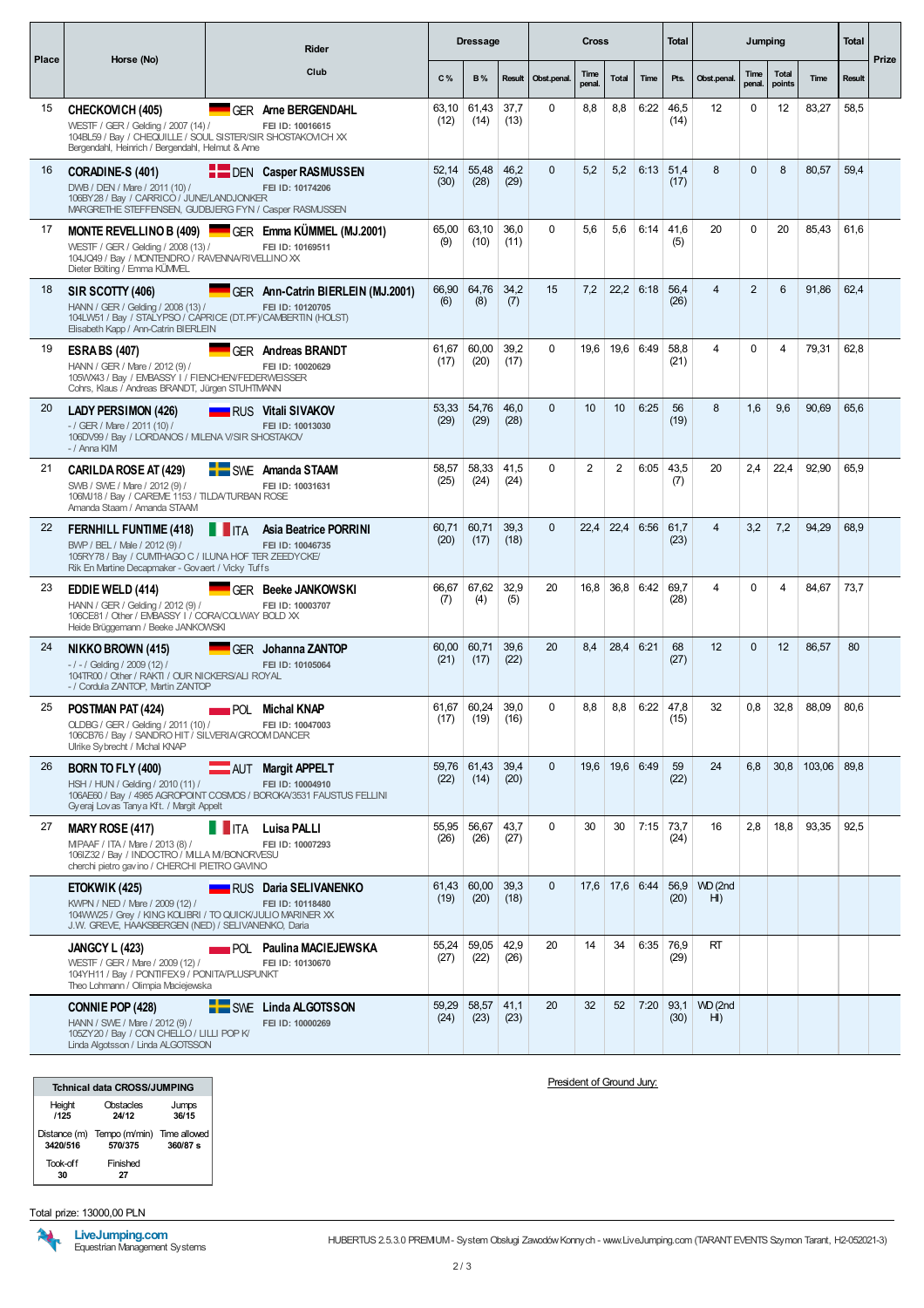|       |                                                                                                                                                                             |               | Rider                                                     |               | <b>Dressage</b>     |              |              | Cross          |                  |      | Total               |                           | Jumping        |                        |                        | Total  |       |
|-------|-----------------------------------------------------------------------------------------------------------------------------------------------------------------------------|---------------|-----------------------------------------------------------|---------------|---------------------|--------------|--------------|----------------|------------------|------|---------------------|---------------------------|----------------|------------------------|------------------------|--------|-------|
| Place | Horse (No)                                                                                                                                                                  |               | Club                                                      | C%            | <b>B%</b>           | Result       | Obst.penal.  | Time<br>penal. | Total            | Time | Pts.                | Obst.penal.               | Time<br>penal. | <b>Total</b><br>points | Time                   | Result | Prize |
| 15    | CHECKOVICH (405)<br>WESTF / GER / Gelding / 2007 (14) /<br>104BL59 / Bay / CHEQUILLE / SOUL SISTER/SIR SHOSTAKOVICH XX<br>Bergendahl, Heinrich / Bergendahl, Helmut & Arne  |               | GER Arne BERGENDAHL<br>FEI ID: 10016615                   | 63,10<br>(12) | 61,43<br>(14)       | 37,7<br>(13) | $\Omega$     | 8,8            | 8,8              | 6:22 | 46,5<br>(14)        | 12                        | 0              | 12                     | 83,27                  | 58,5   |       |
| 16    | CORADINE-S (401)<br>DWB / DEN / Mare / 2011 (10) /<br>106BY28 / Bay / CARRICO / JUNE/LANDJONKER<br>MARGRETHE STEFFENSEN, GUDBJERG FYN / Casper RASMUSSEN                    |               | <b>DEN Casper RASMUSSEN</b><br>FEI ID: 10174206           | 52,14<br>(30) | 55,48<br>(28)       | 46,2<br>(29) | $\mathbf{0}$ | 5,2            | 5,2              | 6:13 | 51,4<br>(17)        | 8                         | $\mathbf{0}$   | 8                      | 80,57                  | 59,4   |       |
| 17    | <b>MONTE REVELLINO B (409)</b><br>WESTF / GER / Gelding / 2008 (13) /<br>104JQ49 / Bay / MONTENDRO / RAVENNA/RIVELLINO XX<br>Dieter Bölting / Emma KÜMVEL                   |               | GER Emma KUMMEL (MJ.2001)<br>FEI ID: 10169511             | 65,00<br>(9)  | 63,10<br>(10)       | 36,0<br>(11) | $\Omega$     | 5,6            | 5,6              | 6:14 | 41,6<br>(5)         | 20                        | 0              | 20                     | 85,43                  | 61,6   |       |
| 18    | SIR SCOTTY (406)<br>HANN / GER / Gelding / 2008 (13) /<br>104LW51 / Bay / STALYPSO / CAPRICE (DT.PF)/CAMBERTIN (HOLST)<br>Elisabeth Kapp / Ann-Catrin BIERLEIN              |               | GER Ann-Catrin BIERLEIN (MJ.2001)<br>FEI ID: 10120705     | 66,90<br>(6)  | 64,76<br>(8)        | 34,2<br>(7)  | 15           | 7,2            | 22,2             | 6:18 | 56,4<br>(26)        | 4                         | $\overline{2}$ | 6                      | 91,86                  | 62,4   |       |
| 19    | <b>ESRA BS (407)</b><br>HANN / GER / Mare / 2012 (9) /<br>105WX43 / Bay / EMBASSY I / FIENCHEN/FEDERWEISSER<br>Cohrs, Klaus / Andreas BRANDT, Jürgen STUHTMANN              |               | <b>GER Andreas BRANDT</b><br>FEI ID: 10020629             | 61,67<br>(17) | 60,00<br>(20)       | 39,2<br>(17) | $\Omega$     | 19,6           | 19,6             | 6:49 | 58,8<br>(21)        | 4                         | 0              | 4                      | 79,31                  | 62,8   |       |
| 20    | <b>LADY PERSIMON (426)</b><br>$-$ / GER / Mare / 2011 (10) /<br>106DV99 / Bay / LORDANOS / MLENA V/SIR SHOSTAKOV<br>- / Anna KIM                                            |               | <b>NO RUS Vitali SIVAKOV</b><br>FEI ID: 10013030          | 53,33<br>(29) | 54,76<br>(29)       | 46,0<br>(28) | $\Omega$     | 10             | 10 <sup>°</sup>  | 6:25 | 56<br>(19)          | 8                         | 1,6            | 9.6                    | 90,69                  | 65,6   |       |
| 21    | CARILDA ROSE AT (429)<br>SWB / SWE / Mare / 2012 (9) /<br>106MJ18 / Bay / CAREME 1153 / TILDA/TURBAN ROSE<br>Amanda Staam / Amanda STAAM                                    |               | <b>E</b> SWE Amanda STAAM<br>FEI ID: 10031631             | 58.57<br>(25) | 58,33<br>(24)       | 41,5<br>(24) | $\Omega$     | $\overline{2}$ | 2                | 6:05 | 43,5<br>(7)         | 20                        | 2,4            | 22,4                   | 92,90                  | 65,9   |       |
| 22    | <b>FERNHILL FUNTIME (418)</b><br>BWP / BEL / Male / 2012 (9) /<br>105RY78 / Bay / CUMTHAGO C / ILUNA HOF TER ZEEDYCKE/<br>Rik En Martine Decapmaker - Govaert / Vicky Tuffs | <b>THEFTA</b> | <b>Asia Beatrice PORRINI</b><br>FEI ID: 10046735          | 60,71<br>(20) | 60,71<br>(17)       | 39,3<br>(18) | $\mathbf{0}$ | 22,4           | 22,4             | 6:56 | 61,7<br>(23)        | 4                         | 3,2            | 7,2                    | 94,29                  | 68,9   |       |
| 23    | <b>EDDIE WELD (414)</b><br>HANN / GER / Gelding / 2012 (9) /<br>106CE81 / Other / EMBASSY I / CORA/COLWAY BOLD XX<br>Heide Brüggemann / Beeke JANKOWSKI                     |               | GER Beeke JANKOWSKI<br>FEI ID: 10003707                   | 66,67<br>(7)  | 67,62<br>(4)        | 32,9<br>(5)  | 20           | 16,8           | 36,8             | 6:42 | 69,7<br>(28)        | 4                         | 0              | 4                      | 84,67                  | 73,7   |       |
| 24    | NIKKO BROWN (415)<br>$-1 - 1$ Gelding / 2009 (12) /<br>104TR00 / Other / RAKTI / OUR NICKERS/ALI ROYAL<br>- / Cordula ZANTOP, Martin ZANTOP                                 |               | GFR Johanna ZANTOP<br>FEI ID: 10105064                    | 60,00<br>(21) | 60,71<br>(17)       | 39,6<br>(22) | 20           | 8,4            | 28,4             | 6:21 | 68<br>(27)          | 12                        | $\mathbf{0}$   | 12                     | 86,57                  | 80     |       |
| 25    | POSTMAN PAT (424)<br>OLDBG / GER / Gelding / 2011 (10) /<br>106CB76 / Bay / SANDRO HIT / SILVERIA/GROOM DANCER<br>Ulrike Svbrecht / Michal KNAP                             |               | <b>NET POL</b> Michal KNAP<br>FEI ID: 10047003            | 61,67<br>(17) | 60,24<br>(19)       | 39,0<br>(16) | $\Omega$     | 8,8            | 8,8              | 6:22 | 47,8<br>(15)        | 32                        | 0,8            | 32,8                   | 88,09                  | 80,6   |       |
| 26    | BORN TO FLY (400)<br>HSH / HUN / Gelding / 2010 (11) /<br>106AE60 / Bay / 4985 AGROPOINT COSMOS / BOROKA/3531 FAUSTUS FELLINI<br>Gyeraj Lovas Tanya Kft. / Margit Appelt    |               | AUT Margit APPELT<br>FEI ID: 10004910                     | (22)          | 59,76 61,43<br>(14) | 39,4<br>(20) | $\Omega$     |                | 19,6 19,6 6:49   |      | 59<br>(22)          | 24                        | 6.8            |                        | $30.8$   103,06   89,8 |        |       |
| 27    | <b>MARY ROSE (417)</b><br>MPAAF / ITA / Mare / 2013 (8) /<br>106IZ32 / Bay / INDOCTRO / MILLA M/BONORVESU<br>cherchi pietro gavino / CHERCHI PIETRO GAVINO                  | <b>TITA</b>   | <b>Luisa PALLI</b><br>FEI ID: 10007293                    | 55,95<br>(26) | 56,67<br>(26)       | 43,7<br>(27) | $\Omega$     | 30             | 30               |      | $7:15$ 73,7<br>(24) | 16                        | 2,8            | 18,8                   | 93,35                  | 92,5   |       |
|       | ETOKWIK (425)<br>KWPN / NED / Mare / 2009 (12) /<br>104WW25 / Grey / KING KOLIBRI / TO QUICK/JULIO MARINER XX<br>J.W. GREVE, HAAKSBERGEN (NED) / SELIVANENKO, Daria         |               | <b>NATIONAL RUS</b> Daria SELIVANENKO<br>FEI ID: 10118480 | (19)          | 61,43 60,00<br>(20) | 39,3<br>(18) | $\Omega$     |                | $17,6$ 17,6 6:44 |      | 56,9<br>(20)        | WD (2nd<br>HI)            |                |                        |                        |        |       |
|       | <b>JANGCY L (423)</b><br>WESTF / GER / Mare / 2009 (12) /<br>104YH11 / Bay / PONTIFEX 9 / PONITA/PLUSPUNKT<br>Theo Lohmann / Olimpia Maciejewska                            |               | <b>POL Paulina MACIEJEWSKA</b><br>FEI ID: 10130670        | 55,24<br>(27) | 59,05<br>(22)       | 42,9<br>(26) | 20           | 14             | 34               | 6:35 | 76,9<br>(29)        | RT                        |                |                        |                        |        |       |
|       | CONNIE POP (428)<br>HANN / SWE / Mare / 2012 (9) /<br>105ZY20 / Bay / CON CHELLO / LILLI POP K/<br>Linda Algotsson / Linda ALGOTSSON                                        |               | SWE Linda ALGOTSSON<br>FEI ID: 10000269                   | 59,29<br>(24) | 58,57<br>(23)       | 41,1<br>(23) | 20           | 32             | 52               | 7:20 | 93,1<br>(30)        | WD (2nd<br>H <sub>l</sub> |                |                        |                        |        |       |

| <b>Tchnical data CROSS/JUMPING</b> |                                       |                            |
|------------------------------------|---------------------------------------|----------------------------|
| Height<br>/125                     | Obstacles<br>24/12                    | Jumps<br>36/15             |
| 3420/516                           | Distance (m) Tempo (m/min)<br>570/375 | Time allowed<br>$360/87$ s |
| Took-off<br>30                     | Finished<br>27                        |                            |

Total prize: 13000,00 PLN

**RALL** 

President of Ground Jury: